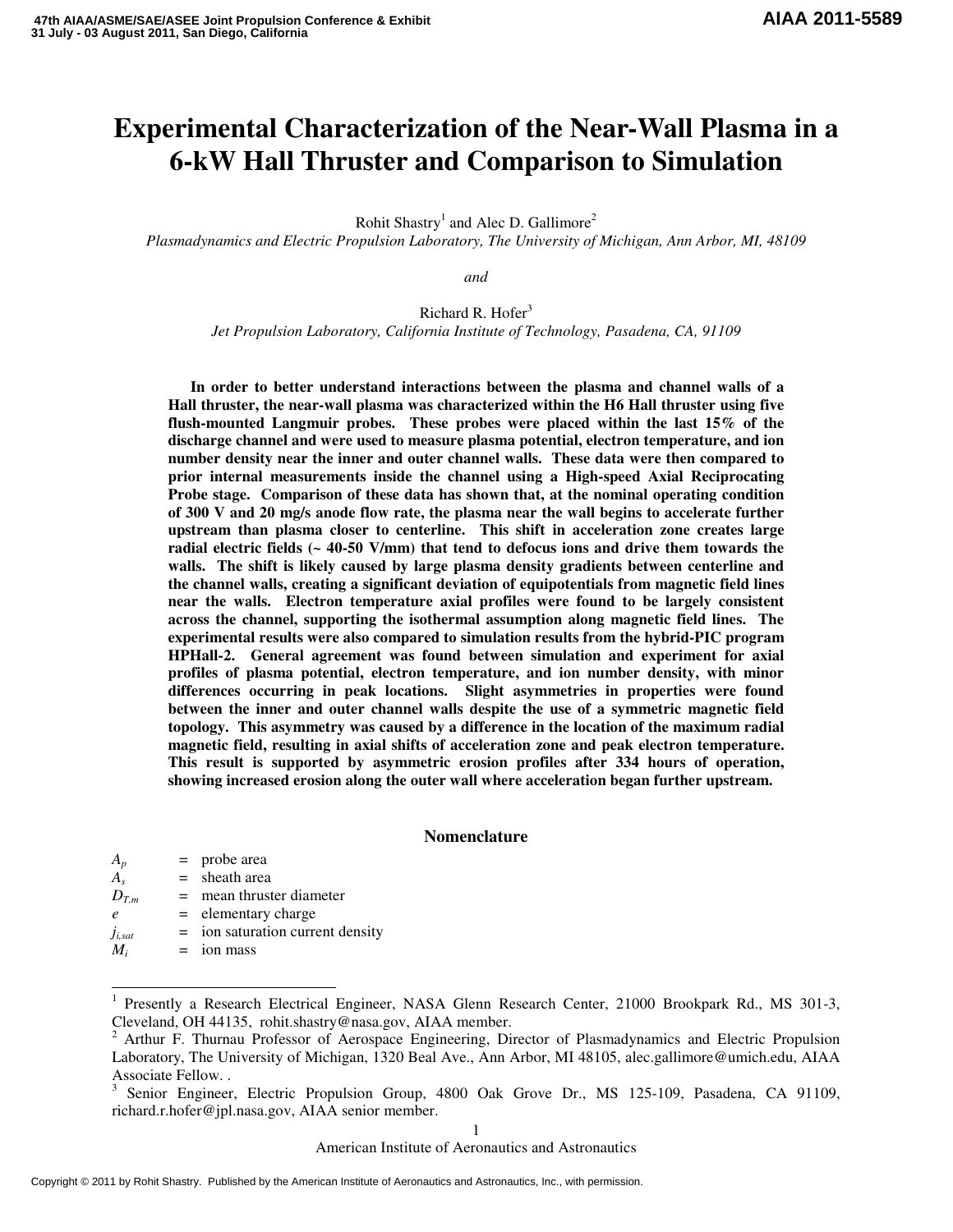## **AIAA 2011-5589**

# **Experimental Characterization of the Near-Wall Plasma in a 6-kW Hall Thruster and Comparison to Simulation**

Rohit Shastry<sup>1</sup> and Alec D. Gallimore<sup>2</sup>

*Plasmadynamics and Electric Propulsion Laboratory, The University of Michigan, Ann Arbor, MI, 48109* 

*and* 

Richard R. Hofer $3$ *Jet Propulsion Laboratory, California Institute of Technology, Pasadena, CA, 91109* 

**In order to better understand interactions between the plasma and channel walls of a Hall thruster, the near-wall plasma was characterized within the H6 Hall thruster using five flush-mounted Langmuir probes. These probes were placed within the last 15% of the discharge channel and were used to measure plasma potential, electron temperature, and ion number density near the inner and outer channel walls. These data were then compared to prior internal measurements inside the channel using a High-speed Axial Reciprocating Probe stage. Comparison of these data has shown that, at the nominal operating condition of 300 V and 20 mg/s anode flow rate, the plasma near the wall begins to accelerate further upstream than plasma closer to centerline. This shift in acceleration zone creates large radial electric fields (~ 40-50 V/mm) that tend to defocus ions and drive them towards the walls. The shift is likely caused by large plasma density gradients between centerline and the channel walls, creating a significant deviation of equipotentials from magnetic field lines near the walls. Electron temperature axial profiles were found to be largely consistent across the channel, supporting the isothermal assumption along magnetic field lines. The experimental results were also compared to simulation results from the hybrid-PIC program HPHall-2. General agreement was found between simulation and experiment for axial profiles of plasma potential, electron temperature, and ion number density, with minor differences occurring in peak locations. Slight asymmetries in properties were found between the inner and outer channel walls despite the use of a symmetric magnetic field topology. This asymmetry was caused by a difference in the location of the maximum radial magnetic field, resulting in axial shifts of acceleration zone and peak electron temperature. This result is supported by asymmetric erosion profiles after 334 hours of operation, showing increased erosion along the outer wall where acceleration began further upstream.** 

#### **Nomenclature**

| $A_p$                          | $=$ probe area                     |
|--------------------------------|------------------------------------|
| $A_{s}$                        | $=$ sheath area                    |
| $D_{T,m}$                      | $=$ mean thruster diameter         |
| $\ell$                         | $=$ elementary charge              |
| $j_{\scriptscriptstyle l,sat}$ | $=$ ion saturation current density |
| $M_i$                          | $=$ ion mass                       |
|                                |                                    |

j

American Institute of Aeronautics and Astronautics

<sup>1</sup> Presently a Research Electrical Engineer, NASA Glenn Research Center, 21000 Brookpark Rd., MS 301-3, Cleveland, OH 44135, rohit.shastry@nasa.gov, AIAA member.

<sup>2</sup> Arthur F. Thurnau Professor of Aerospace Engineering, Director of Plasmadynamics and Electric Propulsion Laboratory, The University of Michigan, 1320 Beal Ave., Ann Arbor, MI 48105, alec.gallimore@umich.edu, AIAA Associate Fellow. .

<sup>&</sup>lt;sup>3</sup> Senior Engineer, Electric Propulsion Group, 4800 Oak Grove Dr., MS 125-109, Pasadena, CA 91109, richard.r.hofer@jpl.nasa.gov, AIAA senior member.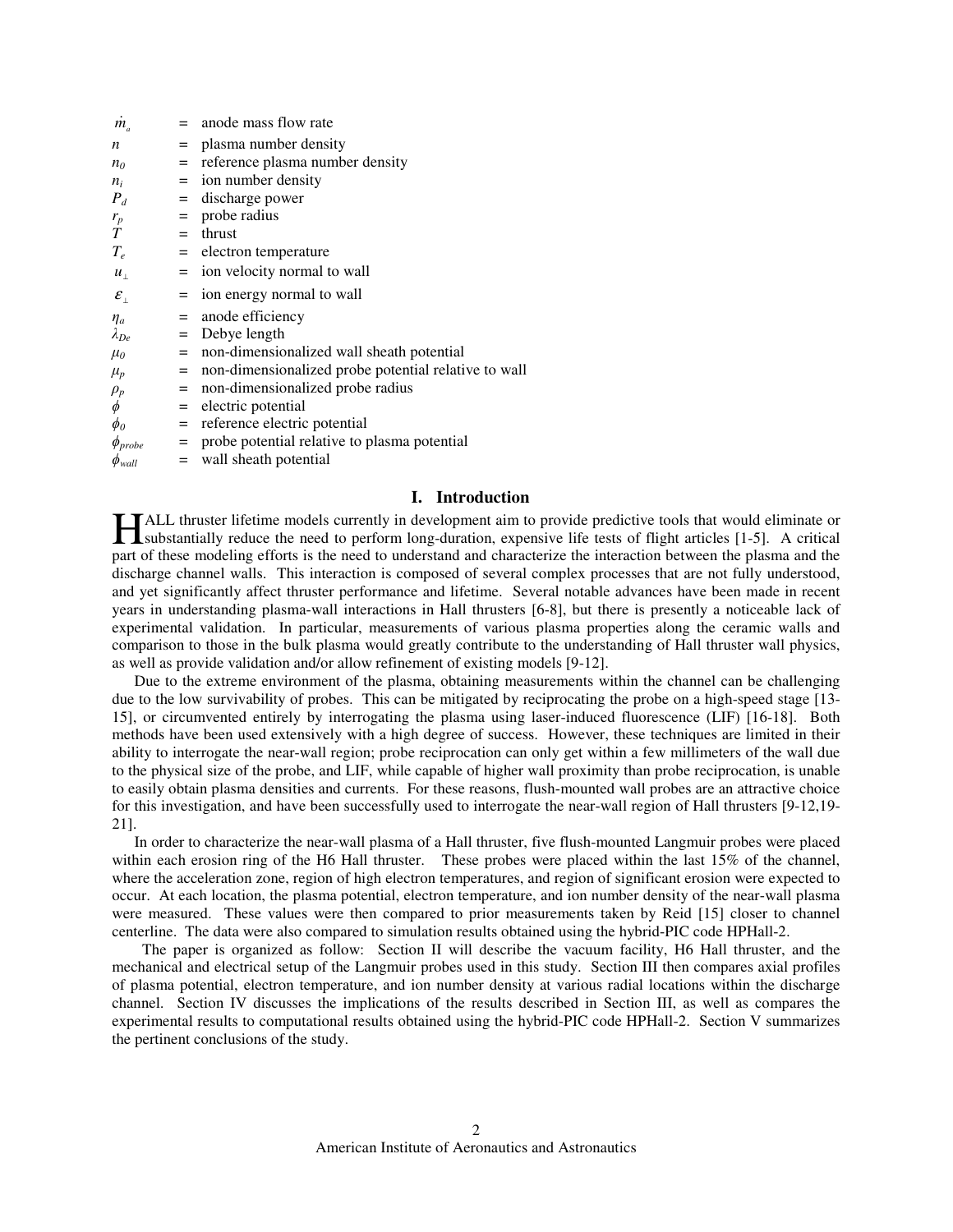| $m_a$                                   |     | $=$ anode mass flow rate                             |
|-----------------------------------------|-----|------------------------------------------------------|
| n                                       |     | $=$ plasma number density                            |
| n <sub>0</sub>                          | $=$ | reference plasma number density                      |
| $n_i$                                   |     | $=$ ion number density                               |
| $P_d$                                   |     | $=$ discharge power                                  |
| $r_p$                                   |     | $=$ probe radius                                     |
| T                                       |     | $=$ thrust                                           |
| $T_e$                                   |     | = electron temperature                               |
| $u_{\perp}$                             |     | $=$ ion velocity normal to wall                      |
| $\mathcal{E}_{\scriptscriptstyle\perp}$ | $=$ | ion energy normal to wall                            |
| $\eta_a$                                |     | $=$ anode efficiency                                 |
| $\lambda_{De}$                          |     | $=$ Debye length                                     |
| $\mu_0$                                 |     | = non-dimensionalized wall sheath potential          |
| $\mu_p$                                 | $=$ | non-dimensionalized probe potential relative to wall |
| $\rho_p$                                | $=$ | non-dimensionalized probe radius                     |
| $\phi$                                  |     | $=$ electric potential                               |
| $\phi_o$                                |     | $=$ reference electric potential                     |
| $\phi_{probe}$                          |     | = probe potential relative to plasma potential       |
| $\phi_{wall}$                           |     | $=$ wall sheath potential                            |

## **I. Introduction**

ALL thruster lifetime models currently in development aim to provide predictive tools that would eliminate or **Substantially reduce the need to perform long-duration, expensive life tests of flight articles [1-5].** A critical and the need to perform long-duration, expensive life tests of flight articles [1-5]. A critical and the s part of these modeling efforts is the need to understand and characterize the interaction between the plasma and the discharge channel walls. This interaction is composed of several complex processes that are not fully understood, and yet significantly affect thruster performance and lifetime. Several notable advances have been made in recent years in understanding plasma-wall interactions in Hall thrusters [6-8], but there is presently a noticeable lack of experimental validation. In particular, measurements of various plasma properties along the ceramic walls and comparison to those in the bulk plasma would greatly contribute to the understanding of Hall thruster wall physics, as well as provide validation and/or allow refinement of existing models [9-12].

Due to the extreme environment of the plasma, obtaining measurements within the channel can be challenging due to the low survivability of probes. This can be mitigated by reciprocating the probe on a high-speed stage [13- 15], or circumvented entirely by interrogating the plasma using laser-induced fluorescence (LIF) [16-18]. Both methods have been used extensively with a high degree of success. However, these techniques are limited in their ability to interrogate the near-wall region; probe reciprocation can only get within a few millimeters of the wall due to the physical size of the probe, and LIF, while capable of higher wall proximity than probe reciprocation, is unable to easily obtain plasma densities and currents. For these reasons, flush-mounted wall probes are an attractive choice for this investigation, and have been successfully used to interrogate the near-wall region of Hall thrusters [9-12,19- 21].

In order to characterize the near-wall plasma of a Hall thruster, five flush-mounted Langmuir probes were placed within each erosion ring of the H6 Hall thruster. These probes were placed within the last 15% of the channel, where the acceleration zone, region of high electron temperatures, and region of significant erosion were expected to occur. At each location, the plasma potential, electron temperature, and ion number density of the near-wall plasma were measured. These values were then compared to prior measurements taken by Reid [15] closer to channel centerline. The data were also compared to simulation results obtained using the hybrid-PIC code HPHall-2.

 The paper is organized as follow: Section II will describe the vacuum facility, H6 Hall thruster, and the mechanical and electrical setup of the Langmuir probes used in this study. Section III then compares axial profiles of plasma potential, electron temperature, and ion number density at various radial locations within the discharge channel. Section IV discusses the implications of the results described in Section III, as well as compares the experimental results to computational results obtained using the hybrid-PIC code HPHall-2. Section V summarizes the pertinent conclusions of the study.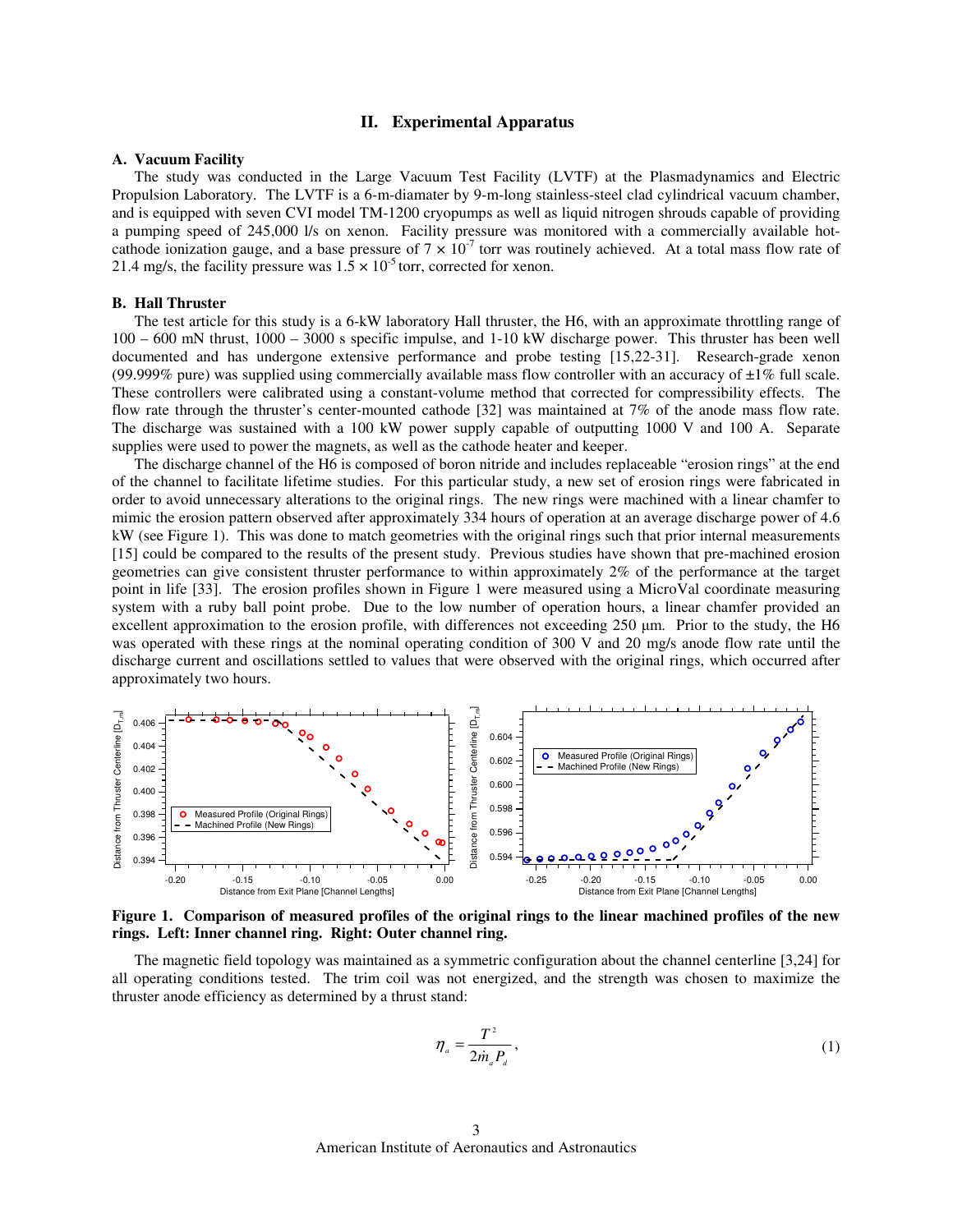### **II. Experimental Apparatus**

#### **A. Vacuum Facility**

The study was conducted in the Large Vacuum Test Facility (LVTF) at the Plasmadynamics and Electric Propulsion Laboratory. The LVTF is a 6-m-diamater by 9-m-long stainless-steel clad cylindrical vacuum chamber, and is equipped with seven CVI model TM-1200 cryopumps as well as liquid nitrogen shrouds capable of providing a pumping speed of 245,000 l/s on xenon. Facility pressure was monitored with a commercially available hotcathode ionization gauge, and a base pressure of  $7 \times 10^{-7}$  torr was routinely achieved. At a total mass flow rate of 21.4 mg/s, the facility pressure was  $1.5 \times 10^{-5}$  torr, corrected for xenon.

## **B. Hall Thruster**

The test article for this study is a 6-kW laboratory Hall thruster, the H6, with an approximate throttling range of 100 – 600 mN thrust, 1000 – 3000 s specific impulse, and 1-10 kW discharge power. This thruster has been well documented and has undergone extensive performance and probe testing [15,22-31]. Research-grade xenon (99.999% pure) was supplied using commercially available mass flow controller with an accuracy of  $\pm 1\%$  full scale. These controllers were calibrated using a constant-volume method that corrected for compressibility effects. The flow rate through the thruster's center-mounted cathode [32] was maintained at 7% of the anode mass flow rate. The discharge was sustained with a 100 kW power supply capable of outputting 1000 V and 100 A. Separate supplies were used to power the magnets, as well as the cathode heater and keeper.

The discharge channel of the H6 is composed of boron nitride and includes replaceable "erosion rings" at the end of the channel to facilitate lifetime studies. For this particular study, a new set of erosion rings were fabricated in order to avoid unnecessary alterations to the original rings. The new rings were machined with a linear chamfer to mimic the erosion pattern observed after approximately 334 hours of operation at an average discharge power of 4.6 kW (see Figure 1). This was done to match geometries with the original rings such that prior internal measurements [15] could be compared to the results of the present study. Previous studies have shown that pre-machined erosion geometries can give consistent thruster performance to within approximately 2% of the performance at the target point in life [33]. The erosion profiles shown in Figure 1 were measured using a MicroVal coordinate measuring system with a ruby ball point probe. Due to the low number of operation hours, a linear chamfer provided an excellent approximation to the erosion profile, with differences not exceeding 250 µm. Prior to the study, the H6 was operated with these rings at the nominal operating condition of 300 V and 20 mg/s anode flow rate until the discharge current and oscillations settled to values that were observed with the original rings, which occurred after approximately two hours.



**Figure 1. Comparison of measured profiles of the original rings to the linear machined profiles of the new rings. Left: Inner channel ring. Right: Outer channel ring.** 

The magnetic field topology was maintained as a symmetric configuration about the channel centerline [3,24] for all operating conditions tested. The trim coil was not energized, and the strength was chosen to maximize the thruster anode efficiency as determined by a thrust stand:

$$
\eta_a = \frac{T^2}{2\dot{m}_a P_a},\tag{1}
$$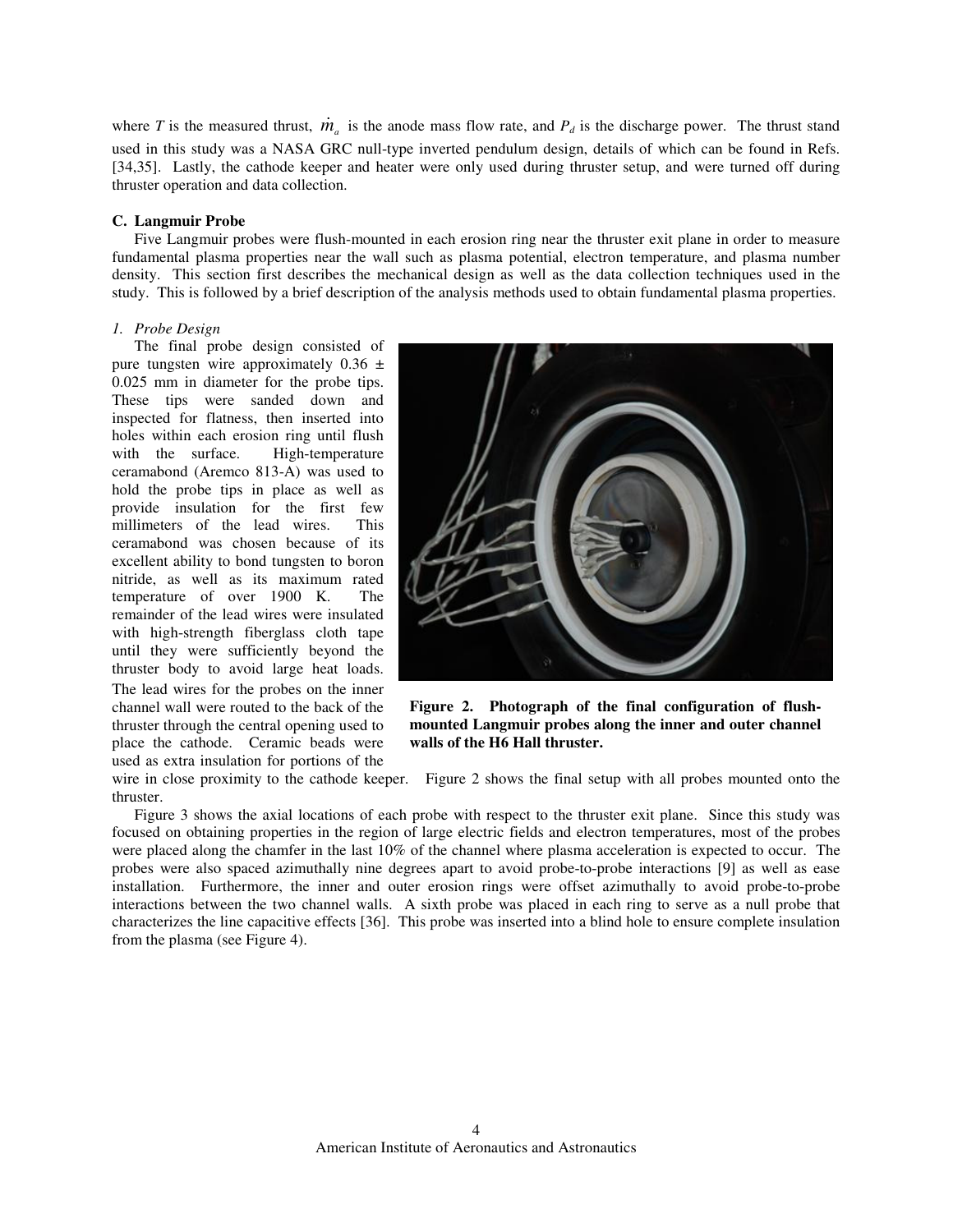where *T* is the measured thrust,  $\dot{m}_a$  is the anode mass flow rate, and  $P_d$  is the discharge power. The thrust stand used in this study was a NASA GRC null-type inverted pendulum design, details of which can be found in Refs. [34,35]. Lastly, the cathode keeper and heater were only used during thruster setup, and were turned off during thruster operation and data collection.

## **C. Langmuir Probe**

Five Langmuir probes were flush-mounted in each erosion ring near the thruster exit plane in order to measure fundamental plasma properties near the wall such as plasma potential, electron temperature, and plasma number density. This section first describes the mechanical design as well as the data collection techniques used in the study. This is followed by a brief description of the analysis methods used to obtain fundamental plasma properties.

## *1. Probe Design*

The final probe design consisted of pure tungsten wire approximately  $0.36 \pm$ 0.025 mm in diameter for the probe tips. These tips were sanded down and inspected for flatness, then inserted into holes within each erosion ring until flush<br>with the surface. High-temperature with the surface. ceramabond (Aremco 813-A) was used to hold the probe tips in place as well as provide insulation for the first few millimeters of the lead wires. This ceramabond was chosen because of its excellent ability to bond tungsten to boron nitride, as well as its maximum rated temperature of over 1900 K. The remainder of the lead wires were insulated with high-strength fiberglass cloth tape until they were sufficiently beyond the thruster body to avoid large heat loads. The lead wires for the probes on the inner channel wall were routed to the back of the thruster through the central opening used to place the cathode. Ceramic beads were used as extra insulation for portions of the

thruster.



**Figure 2. Photograph of the final configuration of flushmounted Langmuir probes along the inner and outer channel walls of the H6 Hall thruster.** 

wire in close proximity to the cathode keeper. Figure 2 shows the final setup with all probes mounted onto the

Figure 3 shows the axial locations of each probe with respect to the thruster exit plane. Since this study was focused on obtaining properties in the region of large electric fields and electron temperatures, most of the probes were placed along the chamfer in the last 10% of the channel where plasma acceleration is expected to occur. The probes were also spaced azimuthally nine degrees apart to avoid probe-to-probe interactions [9] as well as ease installation. Furthermore, the inner and outer erosion rings were offset azimuthally to avoid probe-to-probe interactions between the two channel walls. A sixth probe was placed in each ring to serve as a null probe that characterizes the line capacitive effects [36]. This probe was inserted into a blind hole to ensure complete insulation from the plasma (see Figure 4).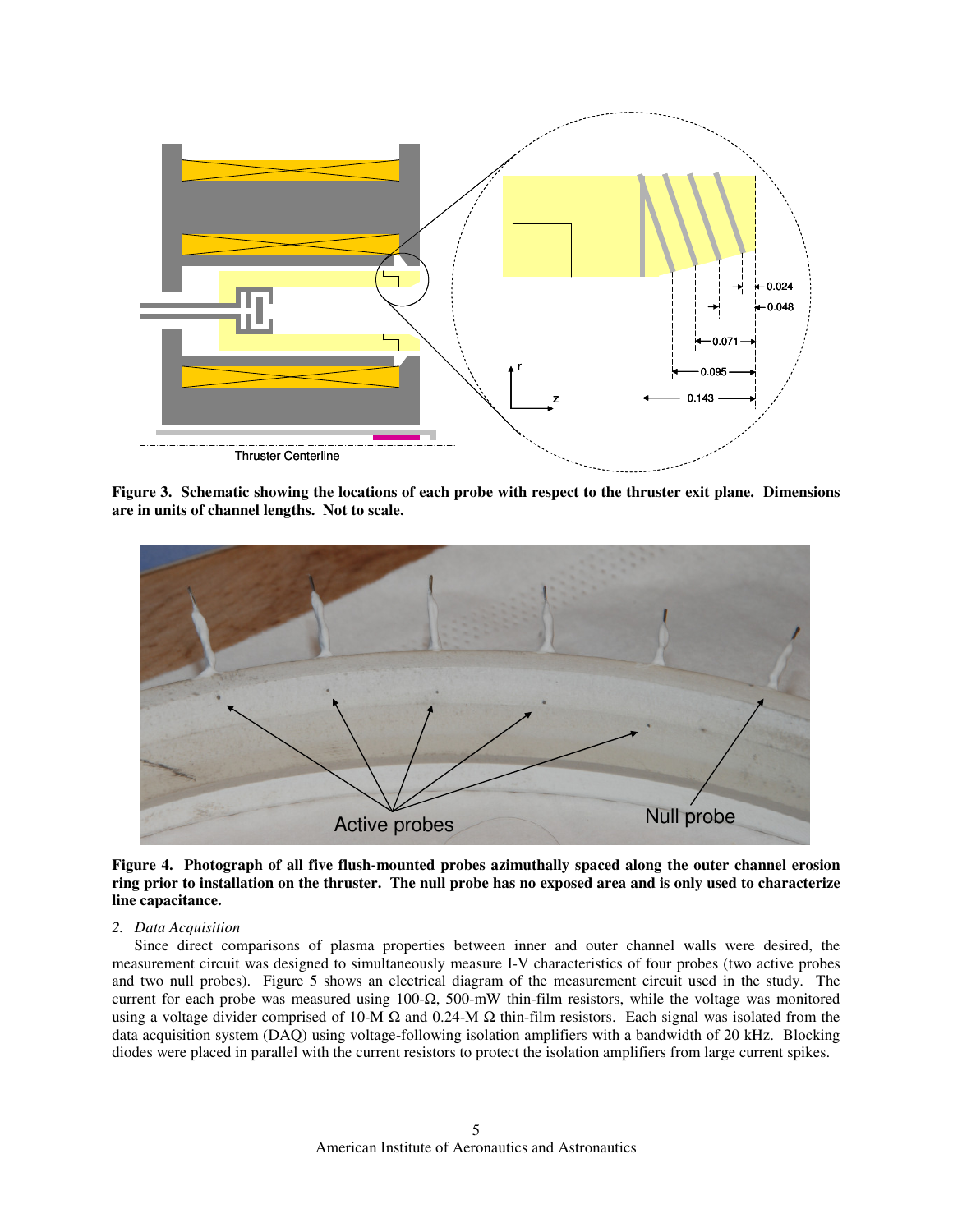

**Figure 3. Schematic showing the locations of each probe with respect to the thruster exit plane. Dimensions are in units of channel lengths. Not to scale.** 



**Figure 4. Photograph of all five flush-mounted probes azimuthally spaced along the outer channel erosion ring prior to installation on the thruster. The null probe has no exposed area and is only used to characterize line capacitance.** 

## *2. Data Acquisition*

Since direct comparisons of plasma properties between inner and outer channel walls were desired, the measurement circuit was designed to simultaneously measure I-V characteristics of four probes (two active probes and two null probes). Figure 5 shows an electrical diagram of the measurement circuit used in the study. The current for each probe was measured using 100-Ω, 500-mW thin-film resistors, while the voltage was monitored using a voltage divider comprised of 10-M  $\Omega$  and 0.24-M  $\Omega$  thin-film resistors. Each signal was isolated from the data acquisition system (DAQ) using voltage-following isolation amplifiers with a bandwidth of 20 kHz. Blocking diodes were placed in parallel with the current resistors to protect the isolation amplifiers from large current spikes.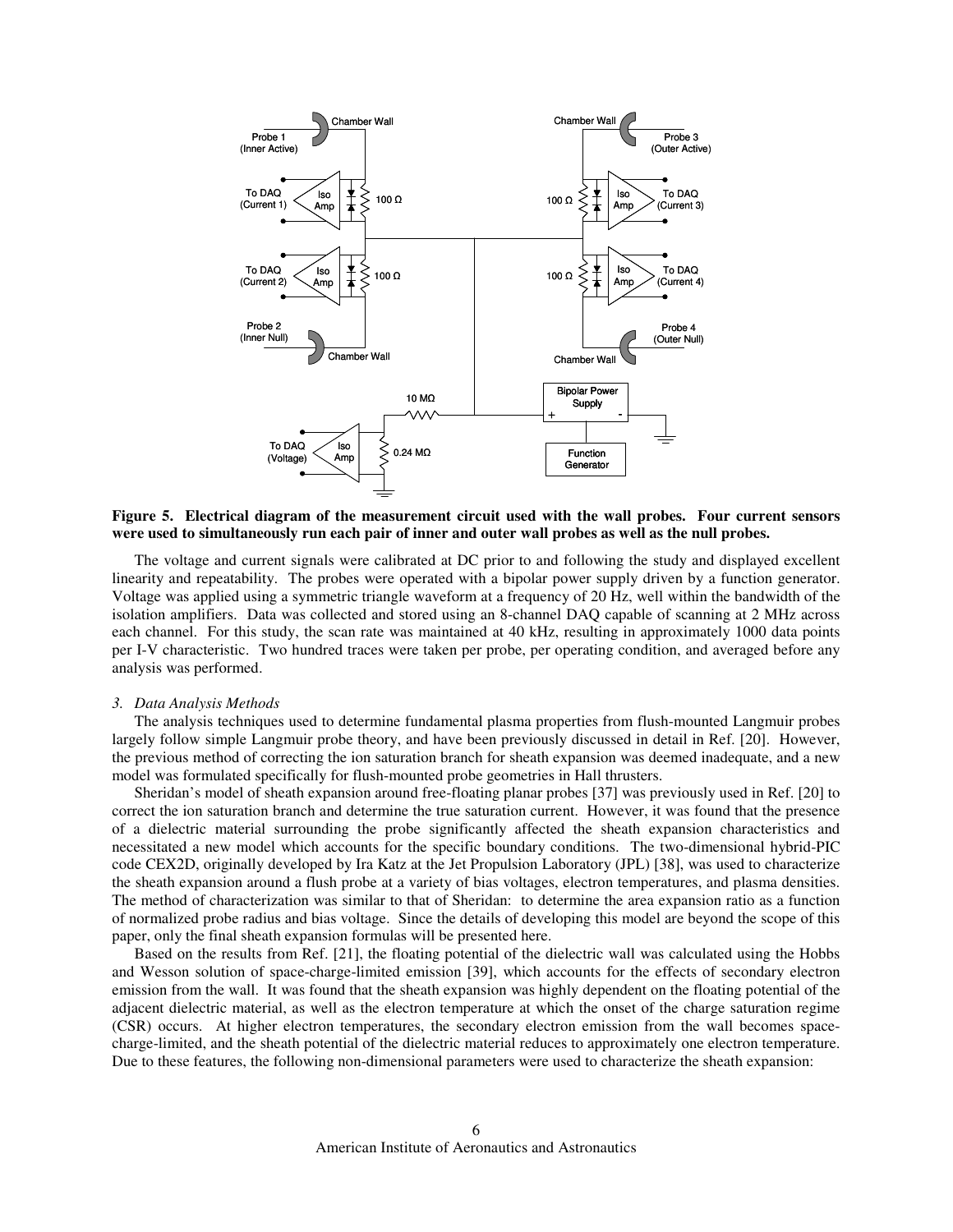

**Figure 5. Electrical diagram of the measurement circuit used with the wall probes. Four current sensors were used to simultaneously run each pair of inner and outer wall probes as well as the null probes.** 

The voltage and current signals were calibrated at DC prior to and following the study and displayed excellent linearity and repeatability. The probes were operated with a bipolar power supply driven by a function generator. Voltage was applied using a symmetric triangle waveform at a frequency of 20 Hz, well within the bandwidth of the isolation amplifiers. Data was collected and stored using an 8-channel DAQ capable of scanning at 2 MHz across each channel. For this study, the scan rate was maintained at 40 kHz, resulting in approximately 1000 data points per I-V characteristic. Two hundred traces were taken per probe, per operating condition, and averaged before any analysis was performed.

#### *3. Data Analysis Methods*

The analysis techniques used to determine fundamental plasma properties from flush-mounted Langmuir probes largely follow simple Langmuir probe theory, and have been previously discussed in detail in Ref. [20]. However, the previous method of correcting the ion saturation branch for sheath expansion was deemed inadequate, and a new model was formulated specifically for flush-mounted probe geometries in Hall thrusters.

Sheridan's model of sheath expansion around free-floating planar probes [37] was previously used in Ref. [20] to correct the ion saturation branch and determine the true saturation current. However, it was found that the presence of a dielectric material surrounding the probe significantly affected the sheath expansion characteristics and necessitated a new model which accounts for the specific boundary conditions. The two-dimensional hybrid-PIC code CEX2D, originally developed by Ira Katz at the Jet Propulsion Laboratory (JPL) [38], was used to characterize the sheath expansion around a flush probe at a variety of bias voltages, electron temperatures, and plasma densities. The method of characterization was similar to that of Sheridan: to determine the area expansion ratio as a function of normalized probe radius and bias voltage. Since the details of developing this model are beyond the scope of this paper, only the final sheath expansion formulas will be presented here.

Based on the results from Ref. [21], the floating potential of the dielectric wall was calculated using the Hobbs and Wesson solution of space-charge-limited emission [39], which accounts for the effects of secondary electron emission from the wall. It was found that the sheath expansion was highly dependent on the floating potential of the adjacent dielectric material, as well as the electron temperature at which the onset of the charge saturation regime (CSR) occurs. At higher electron temperatures, the secondary electron emission from the wall becomes spacecharge-limited, and the sheath potential of the dielectric material reduces to approximately one electron temperature. Due to these features, the following non-dimensional parameters were used to characterize the sheath expansion: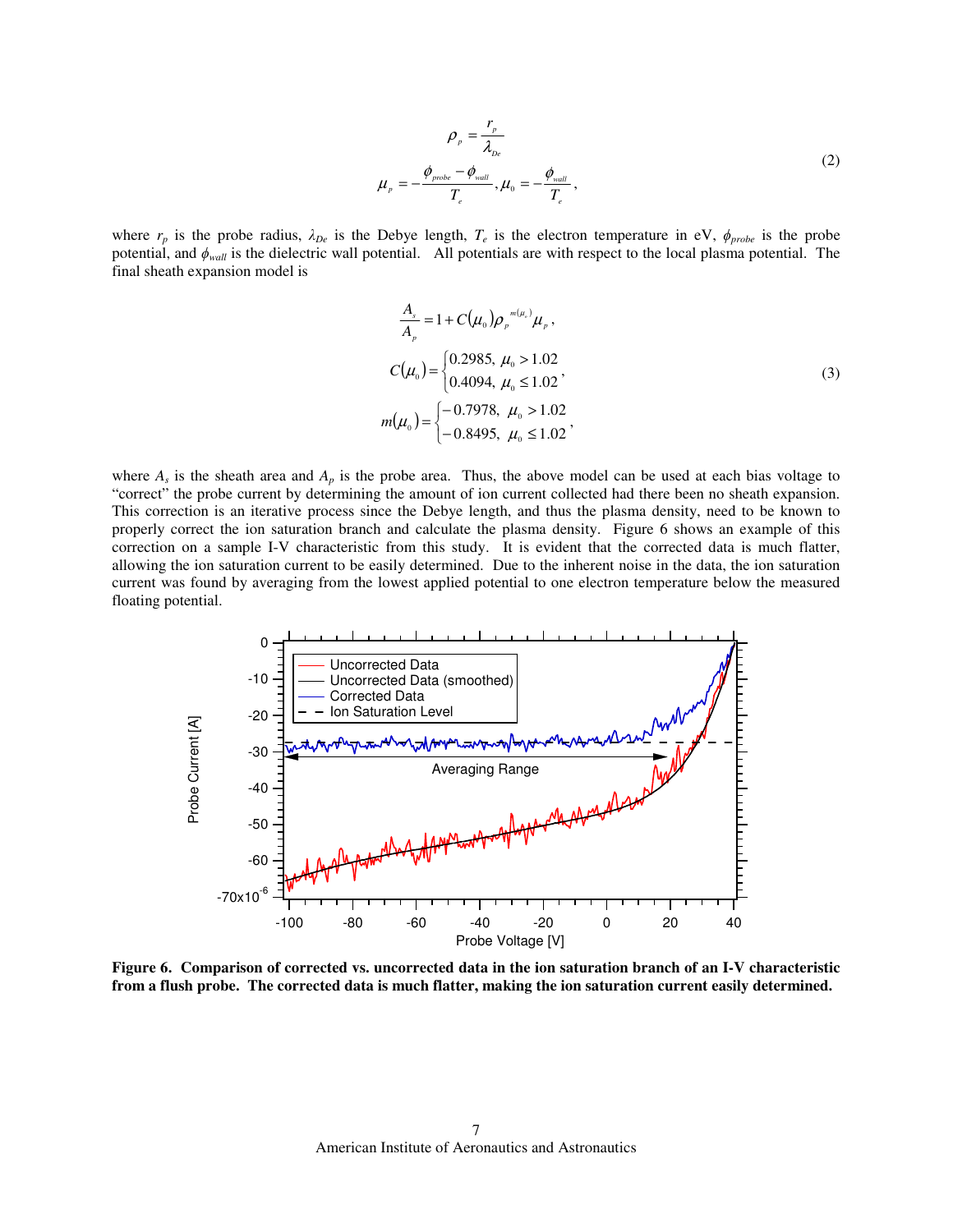$$
\rho_{p} = \frac{r_{p}}{\lambda_{pe}}
$$
\n
$$
\mu_{p} = -\frac{\phi_{prole} - \phi_{wall}}{T_{e}}, \mu_{0} = -\frac{\phi_{wall}}{T_{e}},
$$
\n(2)

where  $r_p$  is the probe radius,  $\lambda_{De}$  is the Debye length,  $T_e$  is the electron temperature in eV,  $\phi_{probe}$  is the probe potential, and ϕ*wall* is the dielectric wall potential. All potentials are with respect to the local plasma potential. The final sheath expansion model is

$$
\frac{A_s}{A_p} = 1 + C(\mu_0) \rho_p^{-m(\mu_0)} \mu_p,
$$
  
\n
$$
C(\mu_0) = \begin{cases} 0.2985, \mu_0 > 1.02 \\ 0.4094, \mu_0 \le 1.02 \end{cases}
$$
  
\n
$$
m(\mu_0) = \begin{cases} -0.7978, \mu_0 > 1.02 \\ -0.8495, \mu_0 \le 1.02 \end{cases}
$$
\n(3)

where  $A_s$  is the sheath area and  $A_p$  is the probe area. Thus, the above model can be used at each bias voltage to "correct" the probe current by determining the amount of ion current collected had there been no sheath expansion. This correction is an iterative process since the Debye length, and thus the plasma density, need to be known to properly correct the ion saturation branch and calculate the plasma density. Figure 6 shows an example of this correction on a sample I-V characteristic from this study. It is evident that the corrected data is much flatter, allowing the ion saturation current to be easily determined. Due to the inherent noise in the data, the ion saturation current was found by averaging from the lowest applied potential to one electron temperature below the measured floating potential.



**Figure 6. Comparison of corrected vs. uncorrected data in the ion saturation branch of an I-V characteristic from a flush probe. The corrected data is much flatter, making the ion saturation current easily determined.**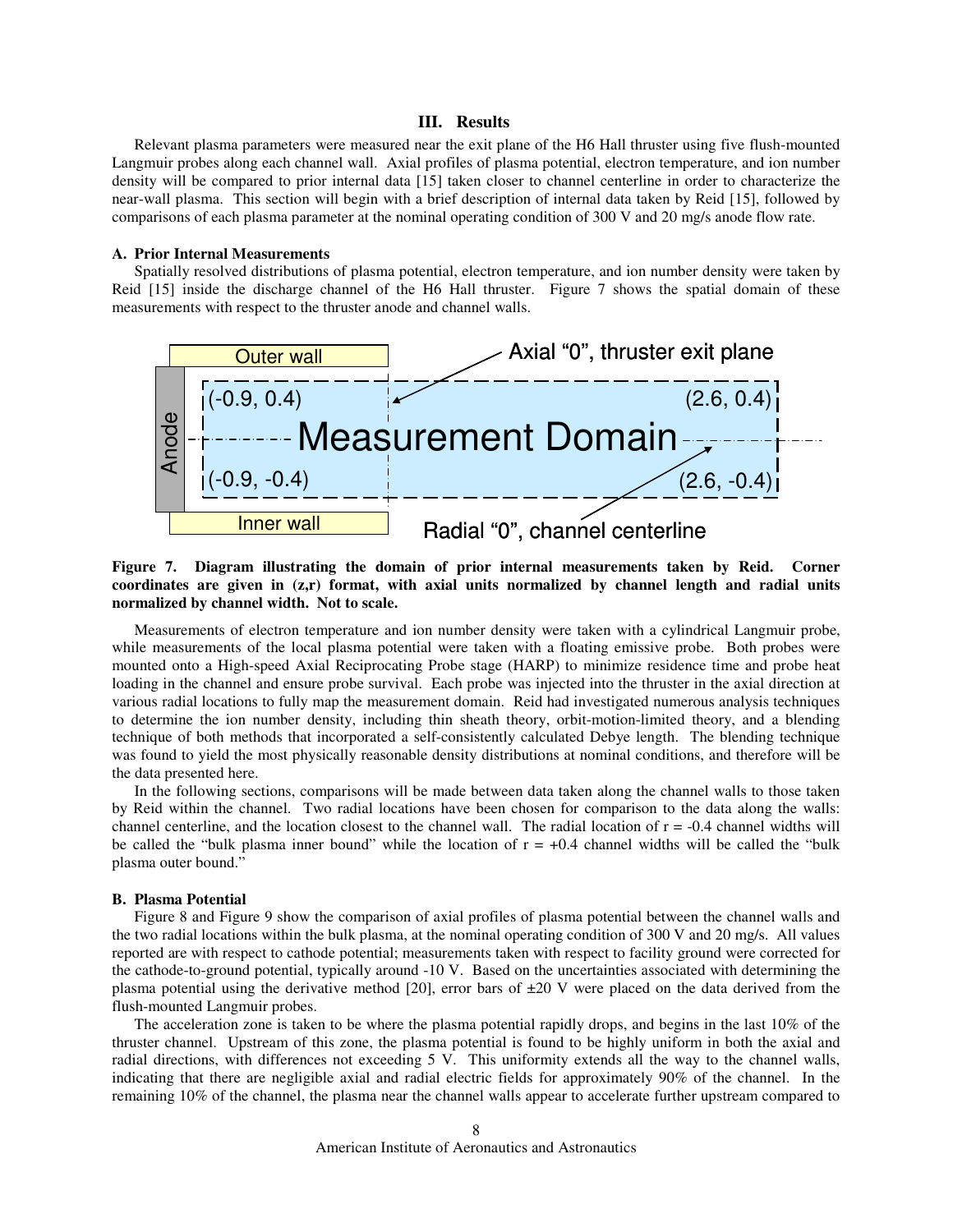## **III. Results**

Relevant plasma parameters were measured near the exit plane of the H6 Hall thruster using five flush-mounted Langmuir probes along each channel wall. Axial profiles of plasma potential, electron temperature, and ion number density will be compared to prior internal data [15] taken closer to channel centerline in order to characterize the near-wall plasma. This section will begin with a brief description of internal data taken by Reid [15], followed by comparisons of each plasma parameter at the nominal operating condition of 300 V and 20 mg/s anode flow rate.

### **A. Prior Internal Measurements**

Spatially resolved distributions of plasma potential, electron temperature, and ion number density were taken by Reid [15] inside the discharge channel of the H6 Hall thruster. Figure 7 shows the spatial domain of these measurements with respect to the thruster anode and channel walls.



## **Figure 7. Diagram illustrating the domain of prior internal measurements taken by Reid. Corner coordinates are given in (z,r) format, with axial units normalized by channel length and radial units normalized by channel width. Not to scale.**

Measurements of electron temperature and ion number density were taken with a cylindrical Langmuir probe, while measurements of the local plasma potential were taken with a floating emissive probe. Both probes were mounted onto a High-speed Axial Reciprocating Probe stage (HARP) to minimize residence time and probe heat loading in the channel and ensure probe survival. Each probe was injected into the thruster in the axial direction at various radial locations to fully map the measurement domain. Reid had investigated numerous analysis techniques to determine the ion number density, including thin sheath theory, orbit-motion-limited theory, and a blending technique of both methods that incorporated a self-consistently calculated Debye length. The blending technique was found to yield the most physically reasonable density distributions at nominal conditions, and therefore will be the data presented here.

In the following sections, comparisons will be made between data taken along the channel walls to those taken by Reid within the channel. Two radial locations have been chosen for comparison to the data along the walls: channel centerline, and the location closest to the channel wall. The radial location of  $r = -0.4$  channel widths will be called the "bulk plasma inner bound" while the location of  $r = +0.4$  channel widths will be called the "bulk" plasma outer bound."

#### **B. Plasma Potential**

Figure 8 and Figure 9 show the comparison of axial profiles of plasma potential between the channel walls and the two radial locations within the bulk plasma, at the nominal operating condition of 300 V and 20 mg/s. All values reported are with respect to cathode potential; measurements taken with respect to facility ground were corrected for the cathode-to-ground potential, typically around -10 V. Based on the uncertainties associated with determining the plasma potential using the derivative method [20], error bars of ±20 V were placed on the data derived from the flush-mounted Langmuir probes.

The acceleration zone is taken to be where the plasma potential rapidly drops, and begins in the last 10% of the thruster channel. Upstream of this zone, the plasma potential is found to be highly uniform in both the axial and radial directions, with differences not exceeding 5 V. This uniformity extends all the way to the channel walls, indicating that there are negligible axial and radial electric fields for approximately 90% of the channel. In the remaining 10% of the channel, the plasma near the channel walls appear to accelerate further upstream compared to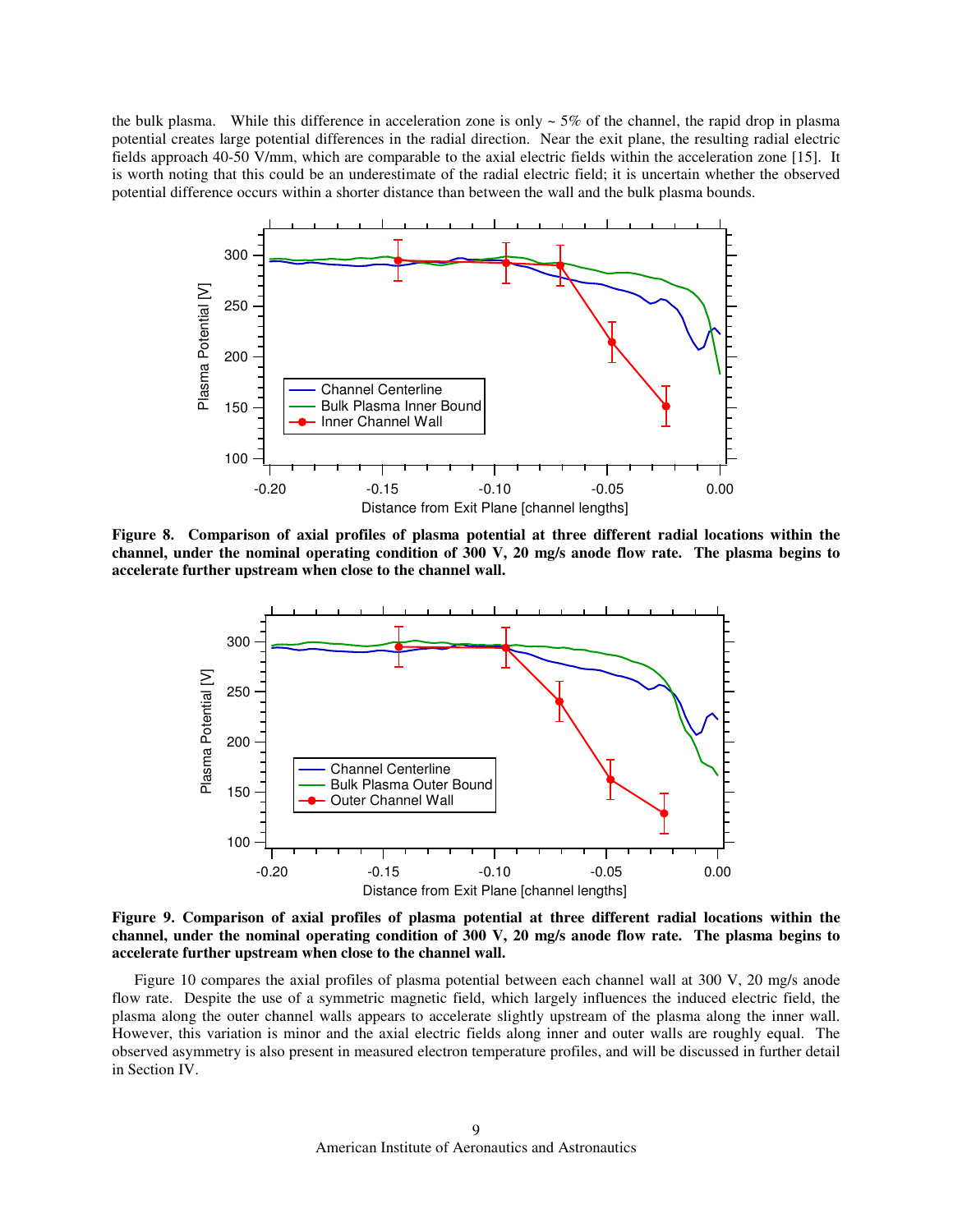the bulk plasma. While this difference in acceleration zone is only  $\sim$  5% of the channel, the rapid drop in plasma potential creates large potential differences in the radial direction. Near the exit plane, the resulting radial electric fields approach 40-50 V/mm, which are comparable to the axial electric fields within the acceleration zone [15]. It is worth noting that this could be an underestimate of the radial electric field; it is uncertain whether the observed potential difference occurs within a shorter distance than between the wall and the bulk plasma bounds.



**Figure 8. Comparison of axial profiles of plasma potential at three different radial locations within the channel, under the nominal operating condition of 300 V, 20 mg/s anode flow rate. The plasma begins to accelerate further upstream when close to the channel wall.** 



**Figure 9. Comparison of axial profiles of plasma potential at three different radial locations within the channel, under the nominal operating condition of 300 V, 20 mg/s anode flow rate. The plasma begins to accelerate further upstream when close to the channel wall.** 

Figure 10 compares the axial profiles of plasma potential between each channel wall at 300 V, 20 mg/s anode flow rate. Despite the use of a symmetric magnetic field, which largely influences the induced electric field, the plasma along the outer channel walls appears to accelerate slightly upstream of the plasma along the inner wall. However, this variation is minor and the axial electric fields along inner and outer walls are roughly equal. The observed asymmetry is also present in measured electron temperature profiles, and will be discussed in further detail in Section IV.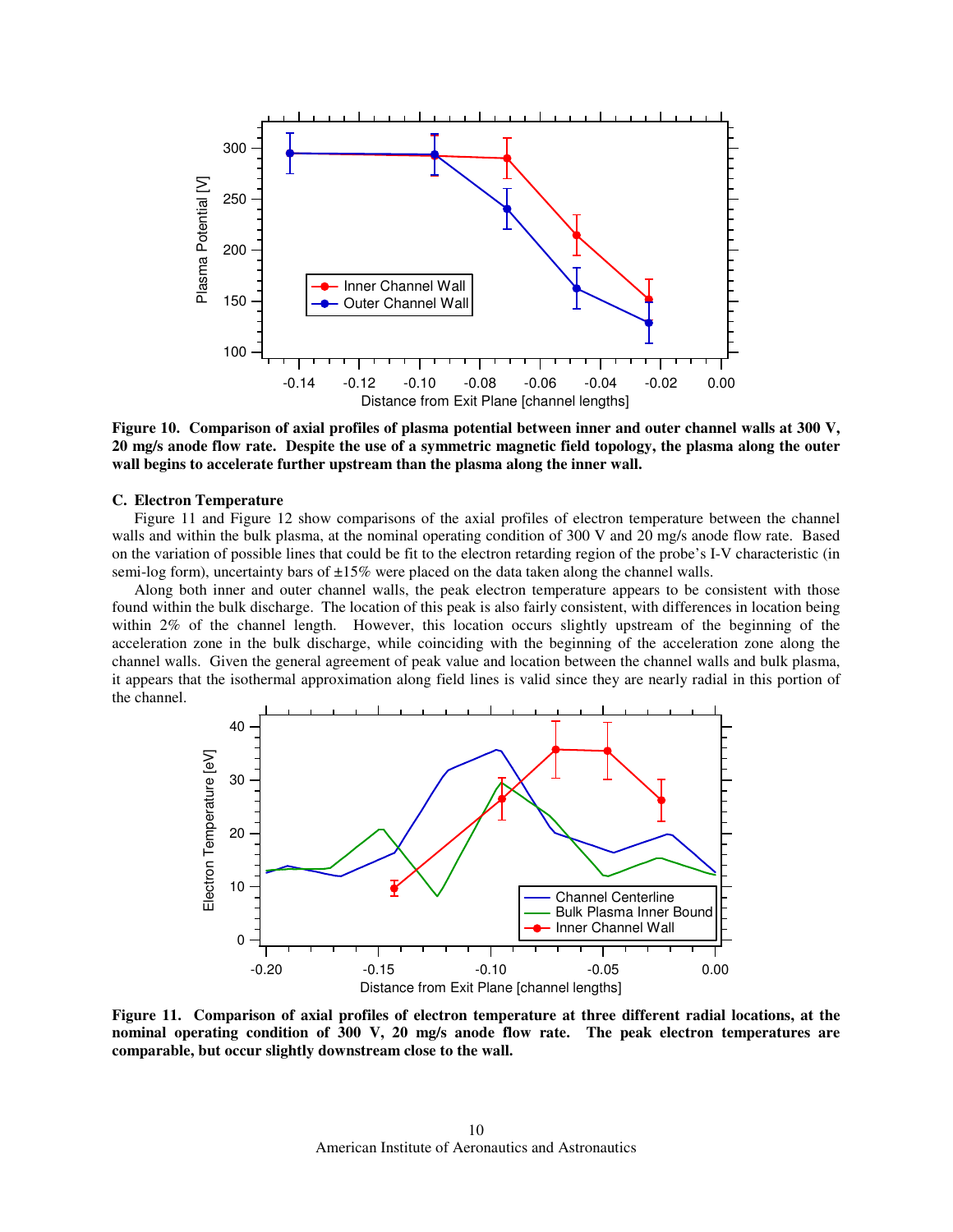

**Figure 10. Comparison of axial profiles of plasma potential between inner and outer channel walls at 300 V, 20 mg/s anode flow rate. Despite the use of a symmetric magnetic field topology, the plasma along the outer wall begins to accelerate further upstream than the plasma along the inner wall.** 

#### **C. Electron Temperature**

Figure 11 and Figure 12 show comparisons of the axial profiles of electron temperature between the channel walls and within the bulk plasma, at the nominal operating condition of 300 V and 20 mg/s anode flow rate. Based on the variation of possible lines that could be fit to the electron retarding region of the probe's I-V characteristic (in semi-log form), uncertainty bars of  $\pm 15\%$  were placed on the data taken along the channel walls.

Along both inner and outer channel walls, the peak electron temperature appears to be consistent with those found within the bulk discharge. The location of this peak is also fairly consistent, with differences in location being within 2% of the channel length. However, this location occurs slightly upstream of the beginning of the acceleration zone in the bulk discharge, while coinciding with the beginning of the acceleration zone along the channel walls. Given the general agreement of peak value and location between the channel walls and bulk plasma, it appears that the isothermal approximation along field lines is valid since they are nearly radial in this portion of the channel.



**Figure 11. Comparison of axial profiles of electron temperature at three different radial locations, at the nominal operating condition of 300 V, 20 mg/s anode flow rate. The peak electron temperatures are comparable, but occur slightly downstream close to the wall.**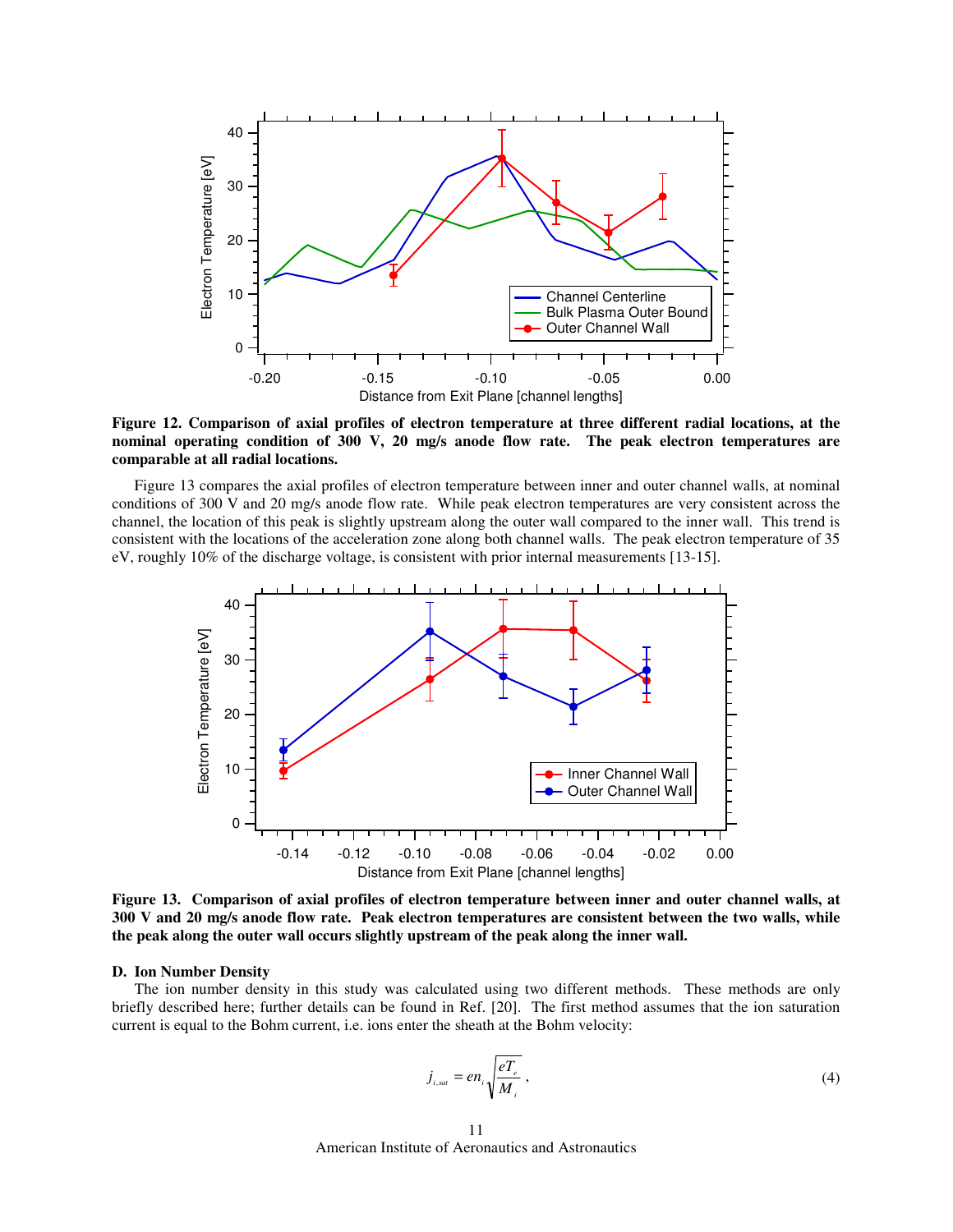

**Figure 12. Comparison of axial profiles of electron temperature at three different radial locations, at the nominal operating condition of 300 V, 20 mg/s anode flow rate. The peak electron temperatures are comparable at all radial locations.** 

Figure 13 compares the axial profiles of electron temperature between inner and outer channel walls, at nominal conditions of 300 V and 20 mg/s anode flow rate. While peak electron temperatures are very consistent across the channel, the location of this peak is slightly upstream along the outer wall compared to the inner wall. This trend is consistent with the locations of the acceleration zone along both channel walls. The peak electron temperature of 35 eV, roughly 10% of the discharge voltage, is consistent with prior internal measurements [13-15].



**Figure 13. Comparison of axial profiles of electron temperature between inner and outer channel walls, at 300 V and 20 mg/s anode flow rate. Peak electron temperatures are consistent between the two walls, while the peak along the outer wall occurs slightly upstream of the peak along the inner wall.** 

#### **D. Ion Number Density**

The ion number density in this study was calculated using two different methods. These methods are only briefly described here; further details can be found in Ref. [20]. The first method assumes that the ion saturation current is equal to the Bohm current, i.e. ions enter the sheath at the Bohm velocity:

$$
j_{i, sat} = en_i \sqrt{\frac{eT_e}{M_i}},
$$
\n<sup>(4)</sup>

American Institute of Aeronautics and Astronautics 11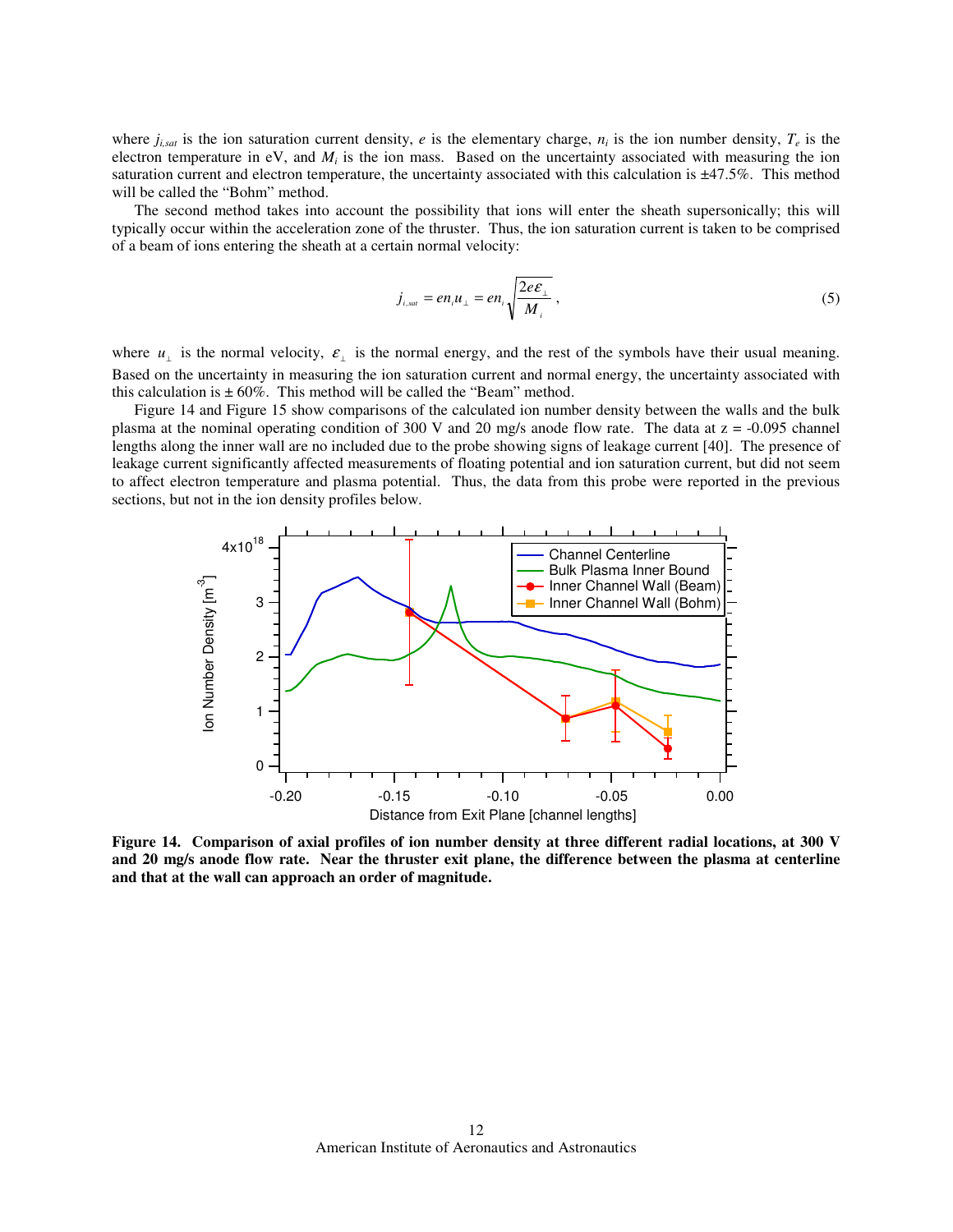where  $j_{i, sat}$  is the ion saturation current density, *e* is the elementary charge,  $n_i$  is the ion number density,  $T_e$  is the electron temperature in  $eV$ , and  $M_i$  is the ion mass. Based on the uncertainty associated with measuring the ion saturation current and electron temperature, the uncertainty associated with this calculation is  $\pm$ 47.5%. This method will be called the "Bohm" method.

The second method takes into account the possibility that ions will enter the sheath supersonically; this will typically occur within the acceleration zone of the thruster. Thus, the ion saturation current is taken to be comprised of a beam of ions entering the sheath at a certain normal velocity:

$$
j_{i, sat} = en_i u_{\perp} = en_i \sqrt{\frac{2e\epsilon_{\perp}}{M_i}} \,, \tag{5}
$$

where  $u_{\perp}$  is the normal velocity,  $\varepsilon_{\perp}$  is the normal energy, and the rest of the symbols have their usual meaning. Based on the uncertainty in measuring the ion saturation current and normal energy, the uncertainty associated with this calculation is  $\pm 60\%$ . This method will be called the "Beam" method.

Figure 14 and Figure 15 show comparisons of the calculated ion number density between the walls and the bulk plasma at the nominal operating condition of 300 V and 20 mg/s anode flow rate. The data at z = -0.095 channel lengths along the inner wall are no included due to the probe showing signs of leakage current [40]. The presence of leakage current significantly affected measurements of floating potential and ion saturation current, but did not seem to affect electron temperature and plasma potential. Thus, the data from this probe were reported in the previous sections, but not in the ion density profiles below.



**Figure 14. Comparison of axial profiles of ion number density at three different radial locations, at 300 V and 20 mg/s anode flow rate. Near the thruster exit plane, the difference between the plasma at centerline and that at the wall can approach an order of magnitude.**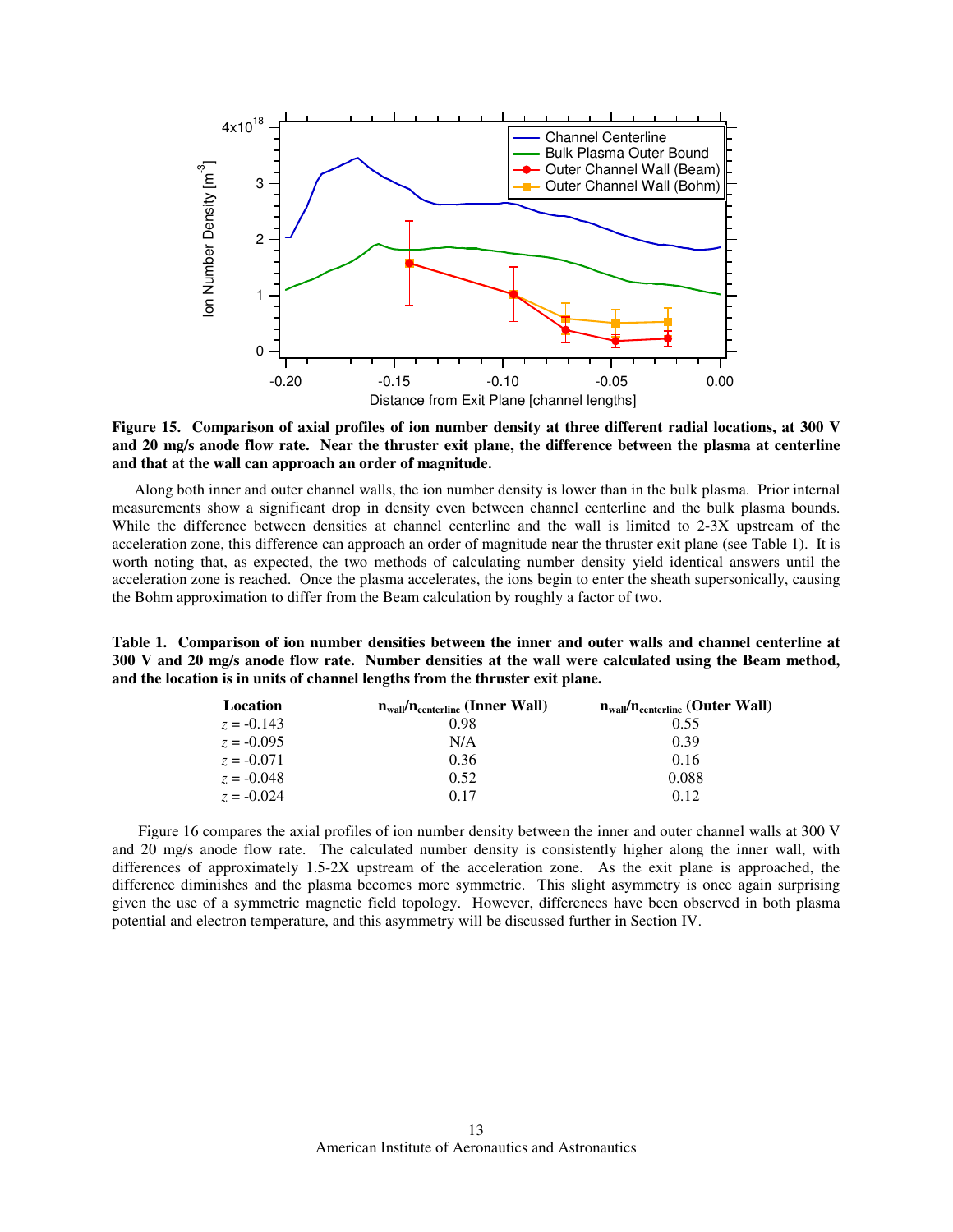

**Figure 15. Comparison of axial profiles of ion number density at three different radial locations, at 300 V and 20 mg/s anode flow rate. Near the thruster exit plane, the difference between the plasma at centerline and that at the wall can approach an order of magnitude.** 

Along both inner and outer channel walls, the ion number density is lower than in the bulk plasma. Prior internal measurements show a significant drop in density even between channel centerline and the bulk plasma bounds. While the difference between densities at channel centerline and the wall is limited to 2-3X upstream of the acceleration zone, this difference can approach an order of magnitude near the thruster exit plane (see Table 1). It is worth noting that, as expected, the two methods of calculating number density yield identical answers until the acceleration zone is reached. Once the plasma accelerates, the ions begin to enter the sheath supersonically, causing the Bohm approximation to differ from the Beam calculation by roughly a factor of two.

**Table 1. Comparison of ion number densities between the inner and outer walls and channel centerline at 300 V and 20 mg/s anode flow rate. Number densities at the wall were calculated using the Beam method, and the location is in units of channel lengths from the thruster exit plane.** 

| Location     | $n_{\text{wall}}/n_{\text{centerline}}$ (Inner Wall) | $n_{\text{wall}}/n_{\text{centerline}}$ (Outer Wall) |
|--------------|------------------------------------------------------|------------------------------------------------------|
| $z = -0.143$ | 0.98                                                 | 0.55                                                 |
| $z = -0.095$ | N/A                                                  | 0.39                                                 |
| $z = -0.071$ | 0.36                                                 | 0.16                                                 |
| $z = -0.048$ | 0.52                                                 | 0.088                                                |
| $z = -0.024$ | 0.17                                                 | 0.12                                                 |

 Figure 16 compares the axial profiles of ion number density between the inner and outer channel walls at 300 V and 20 mg/s anode flow rate. The calculated number density is consistently higher along the inner wall, with differences of approximately 1.5-2X upstream of the acceleration zone. As the exit plane is approached, the difference diminishes and the plasma becomes more symmetric. This slight asymmetry is once again surprising given the use of a symmetric magnetic field topology. However, differences have been observed in both plasma potential and electron temperature, and this asymmetry will be discussed further in Section IV.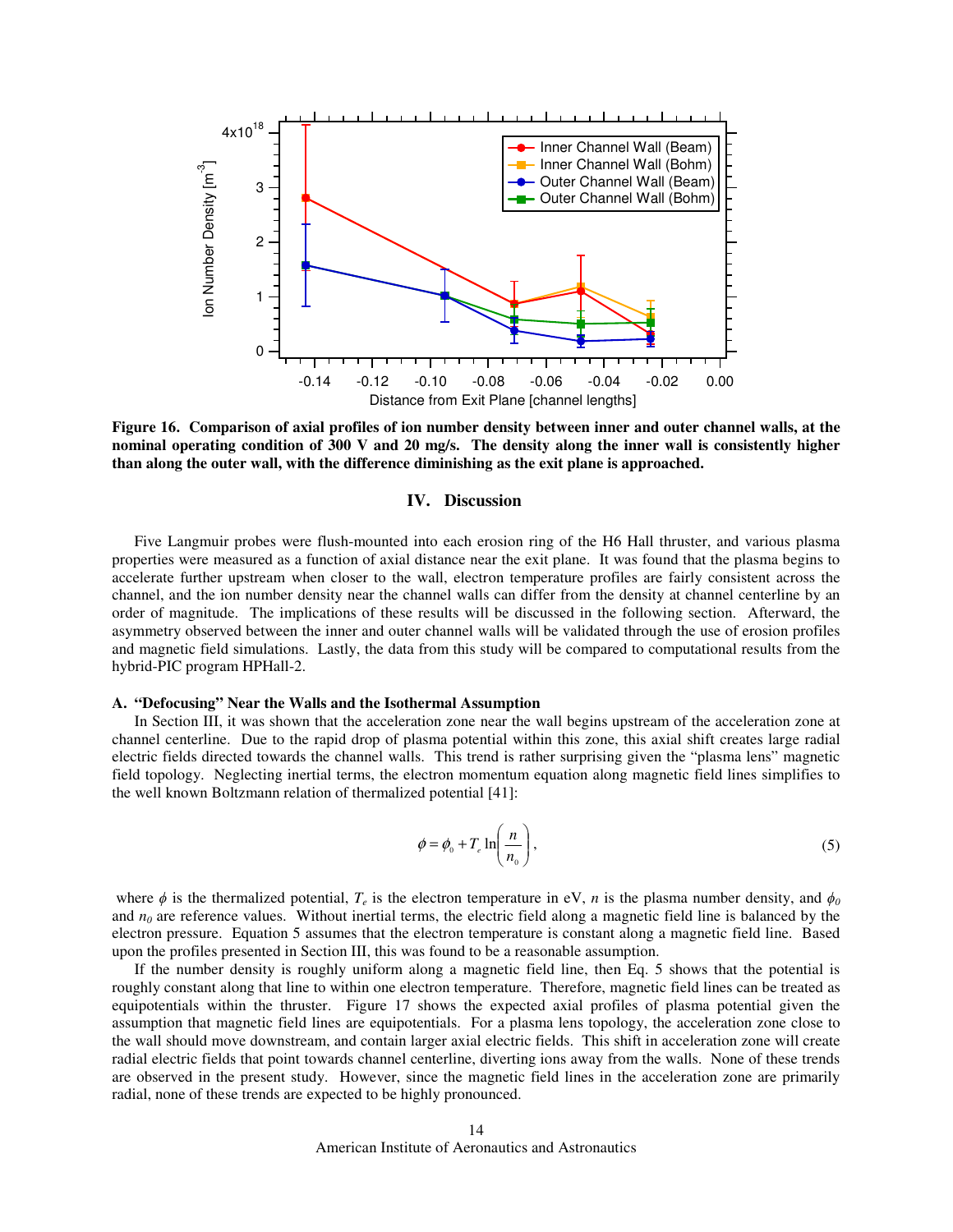

**Figure 16. Comparison of axial profiles of ion number density between inner and outer channel walls, at the nominal operating condition of 300 V and 20 mg/s. The density along the inner wall is consistently higher than along the outer wall, with the difference diminishing as the exit plane is approached.** 

#### **IV. Discussion**

Five Langmuir probes were flush-mounted into each erosion ring of the H6 Hall thruster, and various plasma properties were measured as a function of axial distance near the exit plane. It was found that the plasma begins to accelerate further upstream when closer to the wall, electron temperature profiles are fairly consistent across the channel, and the ion number density near the channel walls can differ from the density at channel centerline by an order of magnitude. The implications of these results will be discussed in the following section. Afterward, the asymmetry observed between the inner and outer channel walls will be validated through the use of erosion profiles and magnetic field simulations. Lastly, the data from this study will be compared to computational results from the hybrid-PIC program HPHall-2.

#### **A. "Defocusing" Near the Walls and the Isothermal Assumption**

In Section III, it was shown that the acceleration zone near the wall begins upstream of the acceleration zone at channel centerline. Due to the rapid drop of plasma potential within this zone, this axial shift creates large radial electric fields directed towards the channel walls. This trend is rather surprising given the "plasma lens" magnetic field topology. Neglecting inertial terms, the electron momentum equation along magnetic field lines simplifies to the well known Boltzmann relation of thermalized potential [41]:

$$
\phi = \phi_0 + T_e \ln\left(\frac{n}{n_0}\right),\tag{5}
$$

where  $\phi$  is the thermalized potential,  $T_e$  is the electron temperature in eV, *n* is the plasma number density, and  $\phi_o$ and  $n<sub>0</sub>$  are reference values. Without inertial terms, the electric field along a magnetic field line is balanced by the electron pressure. Equation 5 assumes that the electron temperature is constant along a magnetic field line. Based upon the profiles presented in Section III, this was found to be a reasonable assumption.

If the number density is roughly uniform along a magnetic field line, then Eq. 5 shows that the potential is roughly constant along that line to within one electron temperature. Therefore, magnetic field lines can be treated as equipotentials within the thruster. Figure 17 shows the expected axial profiles of plasma potential given the assumption that magnetic field lines are equipotentials. For a plasma lens topology, the acceleration zone close to the wall should move downstream, and contain larger axial electric fields. This shift in acceleration zone will create radial electric fields that point towards channel centerline, diverting ions away from the walls. None of these trends are observed in the present study. However, since the magnetic field lines in the acceleration zone are primarily radial, none of these trends are expected to be highly pronounced.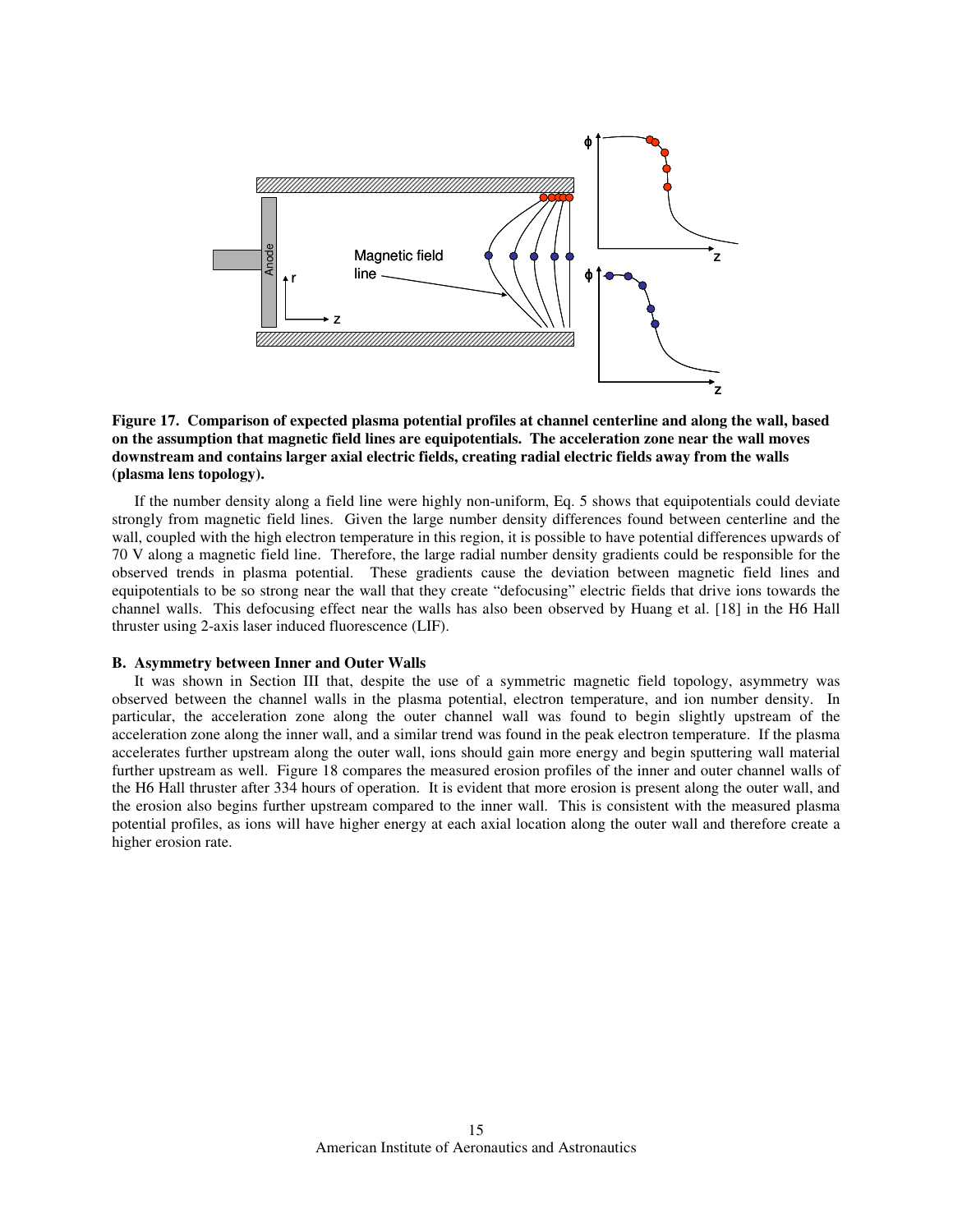

## **Figure 17. Comparison of expected plasma potential profiles at channel centerline and along the wall, based on the assumption that magnetic field lines are equipotentials. The acceleration zone near the wall moves downstream and contains larger axial electric fields, creating radial electric fields away from the walls (plasma lens topology).**

If the number density along a field line were highly non-uniform, Eq. 5 shows that equipotentials could deviate strongly from magnetic field lines. Given the large number density differences found between centerline and the wall, coupled with the high electron temperature in this region, it is possible to have potential differences upwards of 70 V along a magnetic field line. Therefore, the large radial number density gradients could be responsible for the observed trends in plasma potential. These gradients cause the deviation between magnetic field lines and equipotentials to be so strong near the wall that they create "defocusing" electric fields that drive ions towards the channel walls. This defocusing effect near the walls has also been observed by Huang et al. [18] in the H6 Hall thruster using 2-axis laser induced fluorescence (LIF).

### **B. Asymmetry between Inner and Outer Walls**

It was shown in Section III that, despite the use of a symmetric magnetic field topology, asymmetry was observed between the channel walls in the plasma potential, electron temperature, and ion number density. In particular, the acceleration zone along the outer channel wall was found to begin slightly upstream of the acceleration zone along the inner wall, and a similar trend was found in the peak electron temperature. If the plasma accelerates further upstream along the outer wall, ions should gain more energy and begin sputtering wall material further upstream as well. Figure 18 compares the measured erosion profiles of the inner and outer channel walls of the H6 Hall thruster after 334 hours of operation. It is evident that more erosion is present along the outer wall, and the erosion also begins further upstream compared to the inner wall. This is consistent with the measured plasma potential profiles, as ions will have higher energy at each axial location along the outer wall and therefore create a higher erosion rate.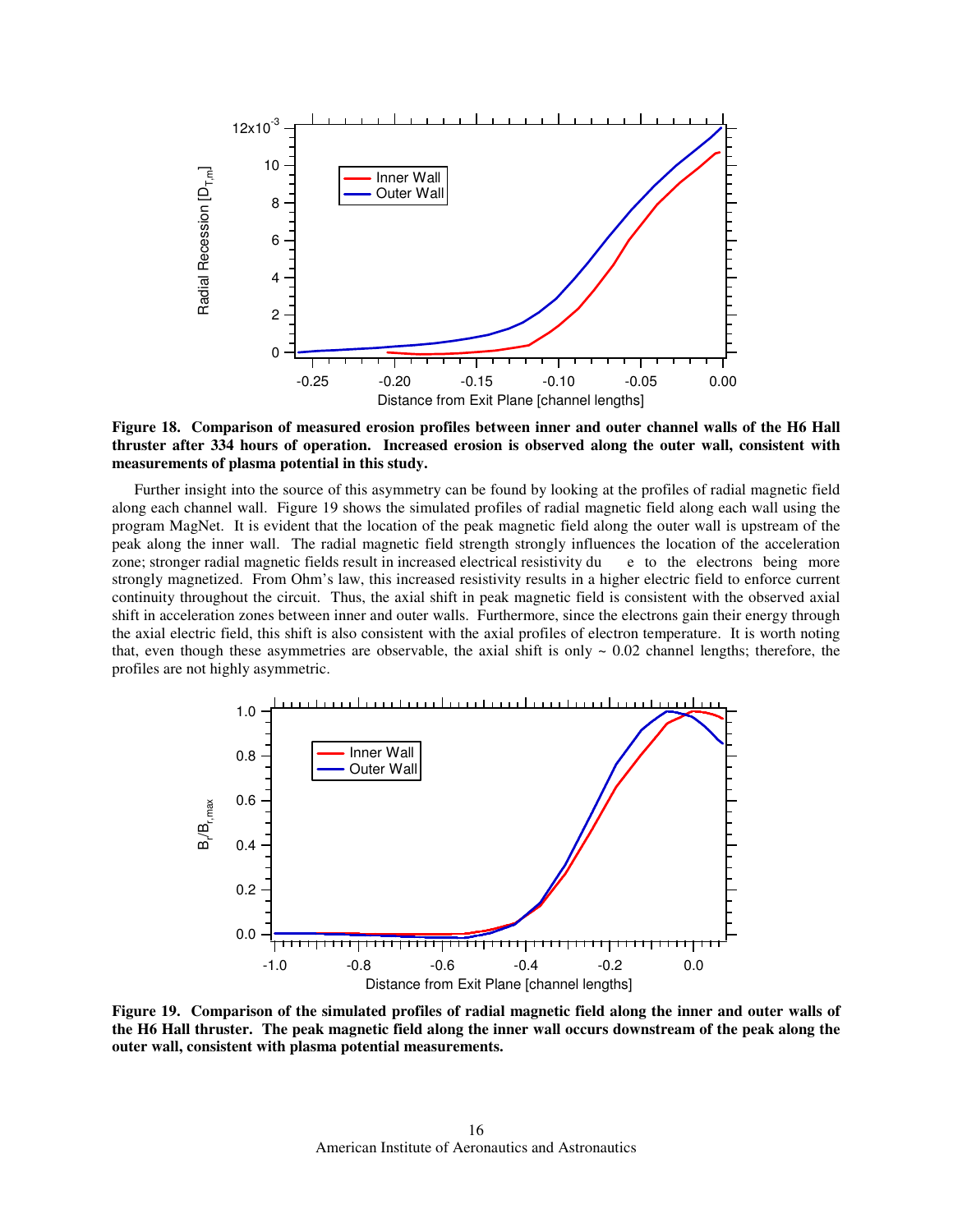

**Figure 18. Comparison of measured erosion profiles between inner and outer channel walls of the H6 Hall thruster after 334 hours of operation. Increased erosion is observed along the outer wall, consistent with measurements of plasma potential in this study.** 

Further insight into the source of this asymmetry can be found by looking at the profiles of radial magnetic field along each channel wall. Figure 19 shows the simulated profiles of radial magnetic field along each wall using the program MagNet. It is evident that the location of the peak magnetic field along the outer wall is upstream of the peak along the inner wall. The radial magnetic field strength strongly influences the location of the acceleration zone; stronger radial magnetic fields result in increased electrical resistivity du e to the electrons being more strongly magnetized. From Ohm's law, this increased resistivity results in a higher electric field to enforce current continuity throughout the circuit. Thus, the axial shift in peak magnetic field is consistent with the observed axial shift in acceleration zones between inner and outer walls. Furthermore, since the electrons gain their energy through the axial electric field, this shift is also consistent with the axial profiles of electron temperature. It is worth noting that, even though these asymmetries are observable, the axial shift is only  $\sim 0.02$  channel lengths; therefore, the profiles are not highly asymmetric.



**Figure 19. Comparison of the simulated profiles of radial magnetic field along the inner and outer walls of the H6 Hall thruster. The peak magnetic field along the inner wall occurs downstream of the peak along the outer wall, consistent with plasma potential measurements.**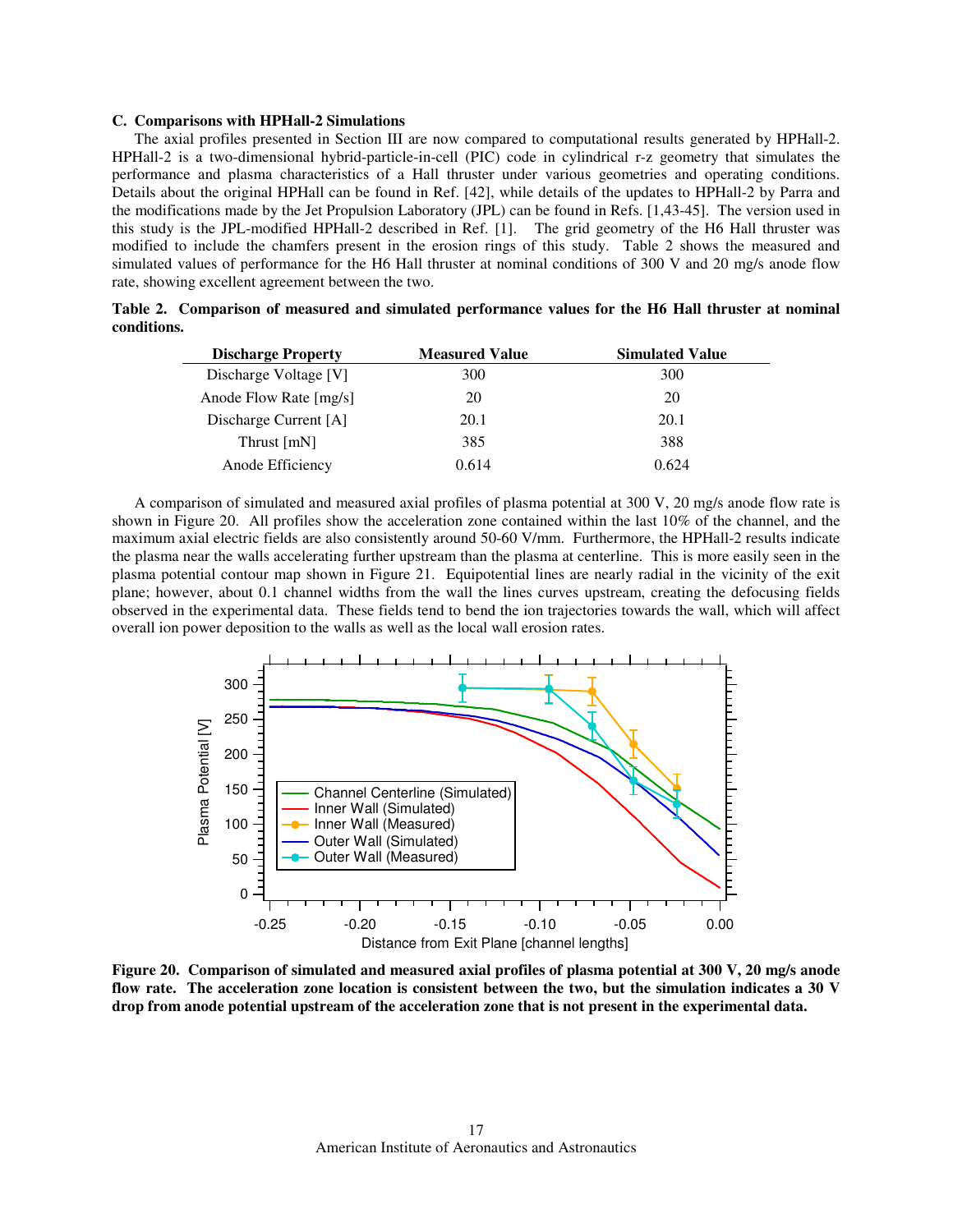#### **C. Comparisons with HPHall-2 Simulations**

The axial profiles presented in Section III are now compared to computational results generated by HPHall-2. HPHall-2 is a two-dimensional hybrid-particle-in-cell (PIC) code in cylindrical r-z geometry that simulates the performance and plasma characteristics of a Hall thruster under various geometries and operating conditions. Details about the original HPHall can be found in Ref. [42], while details of the updates to HPHall-2 by Parra and the modifications made by the Jet Propulsion Laboratory (JPL) can be found in Refs. [1,43-45]. The version used in this study is the JPL-modified HPHall-2 described in Ref. [1]. The grid geometry of the H6 Hall thruster was modified to include the chamfers present in the erosion rings of this study. Table 2 shows the measured and simulated values of performance for the H6 Hall thruster at nominal conditions of 300 V and 20 mg/s anode flow rate, showing excellent agreement between the two.

|             |  |  | Table 2. Comparison of measured and simulated performance values for the H6 Hall thruster at nominal |  |  |  |  |
|-------------|--|--|------------------------------------------------------------------------------------------------------|--|--|--|--|
| conditions. |  |  |                                                                                                      |  |  |  |  |

| <b>Discharge Property</b> | <b>Measured Value</b> | <b>Simulated Value</b> |
|---------------------------|-----------------------|------------------------|
| Discharge Voltage [V]     | 300                   | 300                    |
| Anode Flow Rate [mg/s]    | 20                    | 20                     |
| Discharge Current [A]     | 20.1                  | 20.1                   |
| Thrust [mN]               | 385                   | 388                    |
| Anode Efficiency          | 0.614                 | 0.624                  |

A comparison of simulated and measured axial profiles of plasma potential at 300 V, 20 mg/s anode flow rate is shown in Figure 20. All profiles show the acceleration zone contained within the last 10% of the channel, and the maximum axial electric fields are also consistently around 50-60 V/mm. Furthermore, the HPHall-2 results indicate the plasma near the walls accelerating further upstream than the plasma at centerline. This is more easily seen in the plasma potential contour map shown in Figure 21. Equipotential lines are nearly radial in the vicinity of the exit plane; however, about 0.1 channel widths from the wall the lines curves upstream, creating the defocusing fields observed in the experimental data. These fields tend to bend the ion trajectories towards the wall, which will affect overall ion power deposition to the walls as well as the local wall erosion rates.



**Figure 20. Comparison of simulated and measured axial profiles of plasma potential at 300 V, 20 mg/s anode flow rate. The acceleration zone location is consistent between the two, but the simulation indicates a 30 V drop from anode potential upstream of the acceleration zone that is not present in the experimental data.**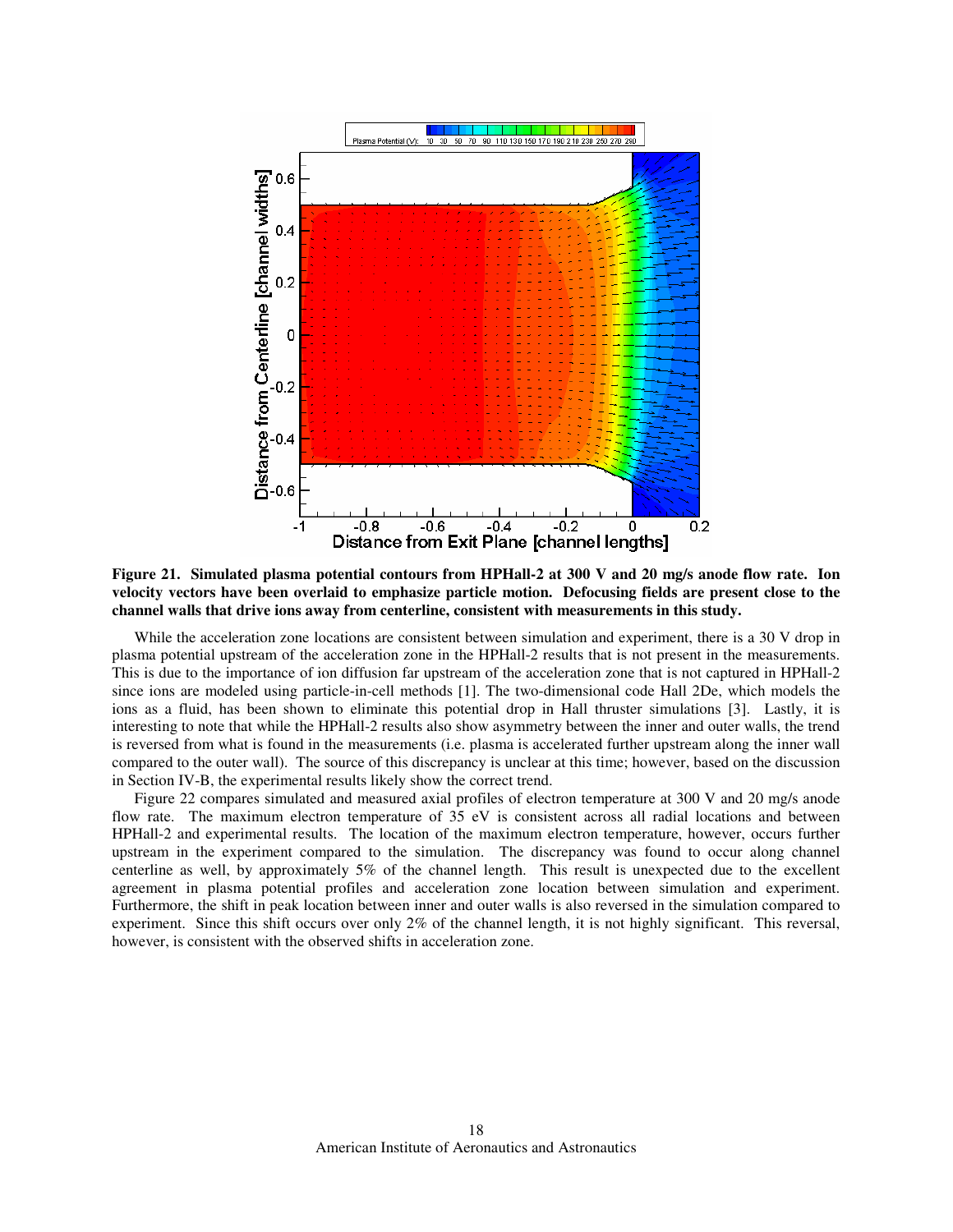

**Figure 21. Simulated plasma potential contours from HPHall-2 at 300 V and 20 mg/s anode flow rate. Ion velocity vectors have been overlaid to emphasize particle motion. Defocusing fields are present close to the channel walls that drive ions away from centerline, consistent with measurements in this study.** 

While the acceleration zone locations are consistent between simulation and experiment, there is a 30 V drop in plasma potential upstream of the acceleration zone in the HPHall-2 results that is not present in the measurements. This is due to the importance of ion diffusion far upstream of the acceleration zone that is not captured in HPHall-2 since ions are modeled using particle-in-cell methods [1]. The two-dimensional code Hall 2De, which models the ions as a fluid, has been shown to eliminate this potential drop in Hall thruster simulations [3]. Lastly, it is interesting to note that while the HPHall-2 results also show asymmetry between the inner and outer walls, the trend is reversed from what is found in the measurements (i.e. plasma is accelerated further upstream along the inner wall compared to the outer wall). The source of this discrepancy is unclear at this time; however, based on the discussion in Section IV-B, the experimental results likely show the correct trend.

Figure 22 compares simulated and measured axial profiles of electron temperature at 300 V and 20 mg/s anode flow rate. The maximum electron temperature of 35 eV is consistent across all radial locations and between HPHall-2 and experimental results. The location of the maximum electron temperature, however, occurs further upstream in the experiment compared to the simulation. The discrepancy was found to occur along channel centerline as well, by approximately 5% of the channel length. This result is unexpected due to the excellent agreement in plasma potential profiles and acceleration zone location between simulation and experiment. Furthermore, the shift in peak location between inner and outer walls is also reversed in the simulation compared to experiment. Since this shift occurs over only 2% of the channel length, it is not highly significant. This reversal, however, is consistent with the observed shifts in acceleration zone.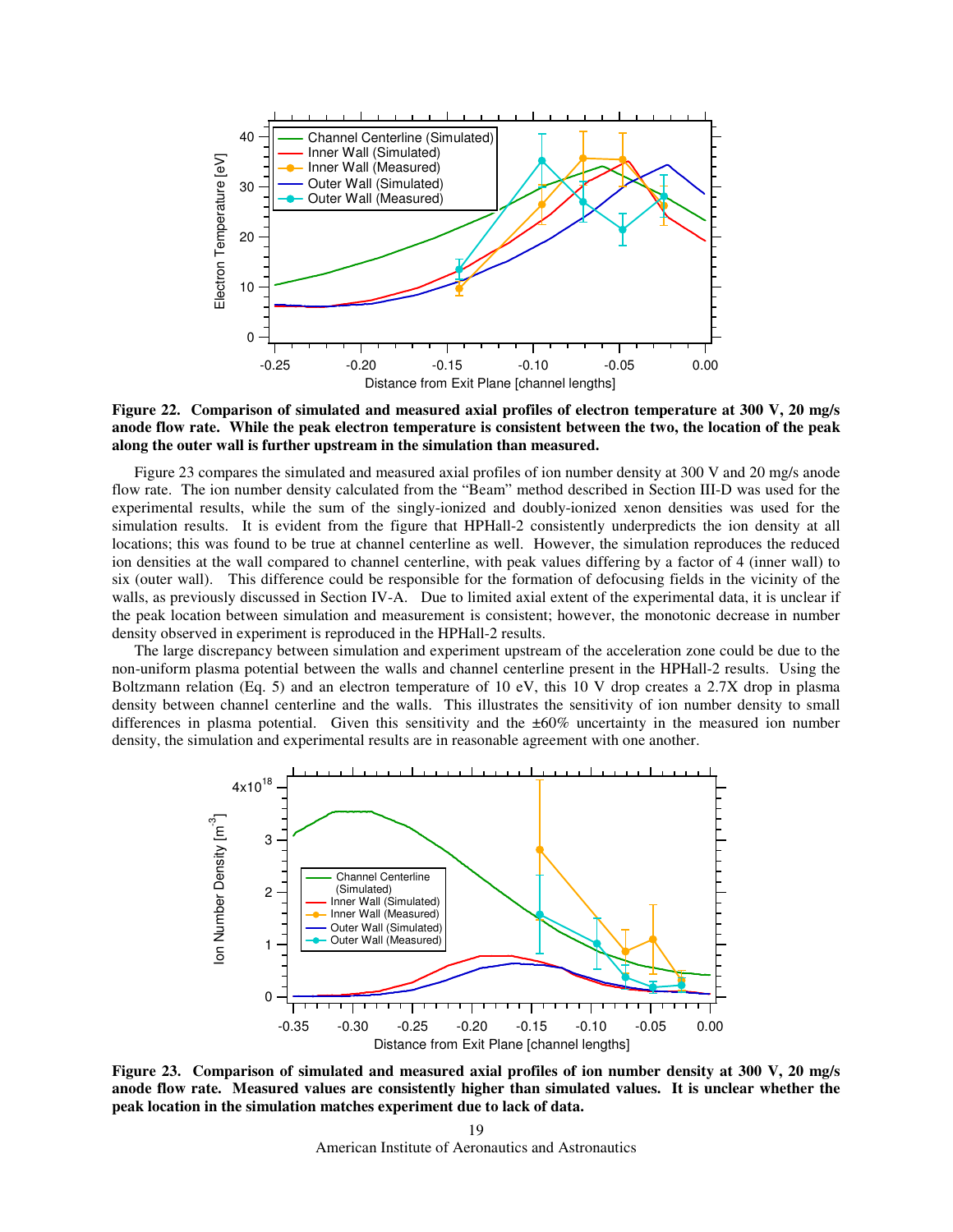

**Figure 22. Comparison of simulated and measured axial profiles of electron temperature at 300 V, 20 mg/s anode flow rate. While the peak electron temperature is consistent between the two, the location of the peak along the outer wall is further upstream in the simulation than measured.** 

Figure 23 compares the simulated and measured axial profiles of ion number density at 300 V and 20 mg/s anode flow rate. The ion number density calculated from the "Beam" method described in Section III-D was used for the experimental results, while the sum of the singly-ionized and doubly-ionized xenon densities was used for the simulation results. It is evident from the figure that HPHall-2 consistently underpredicts the ion density at all locations; this was found to be true at channel centerline as well. However, the simulation reproduces the reduced ion densities at the wall compared to channel centerline, with peak values differing by a factor of 4 (inner wall) to six (outer wall). This difference could be responsible for the formation of defocusing fields in the vicinity of the walls, as previously discussed in Section IV-A. Due to limited axial extent of the experimental data, it is unclear if the peak location between simulation and measurement is consistent; however, the monotonic decrease in number density observed in experiment is reproduced in the HPHall-2 results.

The large discrepancy between simulation and experiment upstream of the acceleration zone could be due to the non-uniform plasma potential between the walls and channel centerline present in the HPHall-2 results. Using the Boltzmann relation (Eq. 5) and an electron temperature of 10 eV, this 10 V drop creates a 2.7X drop in plasma density between channel centerline and the walls. This illustrates the sensitivity of ion number density to small differences in plasma potential. Given this sensitivity and the ±60% uncertainty in the measured ion number density, the simulation and experimental results are in reasonable agreement with one another.



**Figure 23. Comparison of simulated and measured axial profiles of ion number density at 300 V, 20 mg/s anode flow rate. Measured values are consistently higher than simulated values. It is unclear whether the peak location in the simulation matches experiment due to lack of data.**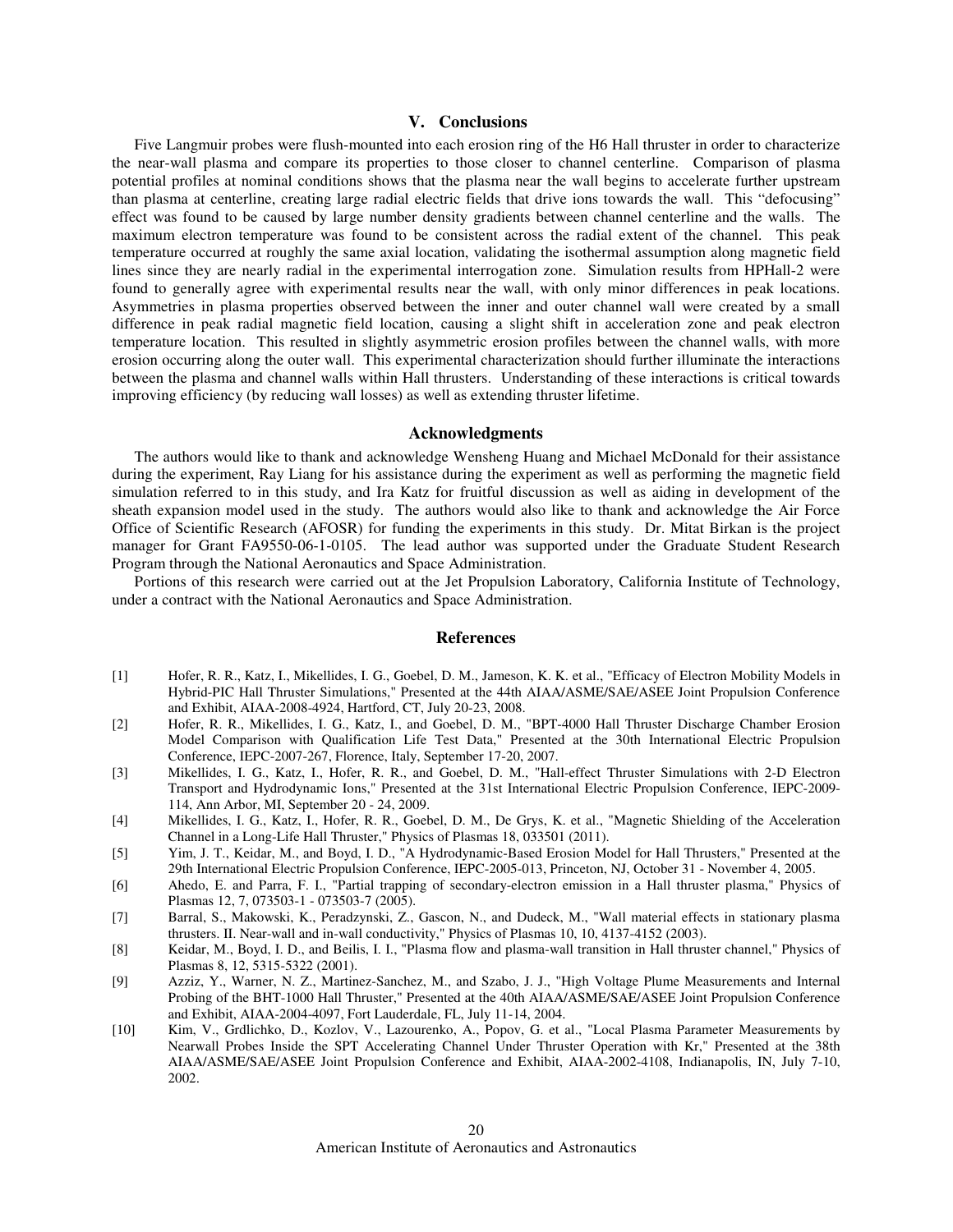## **V. Conclusions**

Five Langmuir probes were flush-mounted into each erosion ring of the H6 Hall thruster in order to characterize the near-wall plasma and compare its properties to those closer to channel centerline. Comparison of plasma potential profiles at nominal conditions shows that the plasma near the wall begins to accelerate further upstream than plasma at centerline, creating large radial electric fields that drive ions towards the wall. This "defocusing" effect was found to be caused by large number density gradients between channel centerline and the walls. The maximum electron temperature was found to be consistent across the radial extent of the channel. This peak temperature occurred at roughly the same axial location, validating the isothermal assumption along magnetic field lines since they are nearly radial in the experimental interrogation zone. Simulation results from HPHall-2 were found to generally agree with experimental results near the wall, with only minor differences in peak locations. Asymmetries in plasma properties observed between the inner and outer channel wall were created by a small difference in peak radial magnetic field location, causing a slight shift in acceleration zone and peak electron temperature location. This resulted in slightly asymmetric erosion profiles between the channel walls, with more erosion occurring along the outer wall. This experimental characterization should further illuminate the interactions between the plasma and channel walls within Hall thrusters. Understanding of these interactions is critical towards improving efficiency (by reducing wall losses) as well as extending thruster lifetime.

## **Acknowledgments**

The authors would like to thank and acknowledge Wensheng Huang and Michael McDonald for their assistance during the experiment, Ray Liang for his assistance during the experiment as well as performing the magnetic field simulation referred to in this study, and Ira Katz for fruitful discussion as well as aiding in development of the sheath expansion model used in the study. The authors would also like to thank and acknowledge the Air Force Office of Scientific Research (AFOSR) for funding the experiments in this study. Dr. Mitat Birkan is the project manager for Grant FA9550-06-1-0105. The lead author was supported under the Graduate Student Research Program through the National Aeronautics and Space Administration.

Portions of this research were carried out at the Jet Propulsion Laboratory, California Institute of Technology, under a contract with the National Aeronautics and Space Administration.

## **References**

- [1] Hofer, R. R., Katz, I., Mikellides, I. G., Goebel, D. M., Jameson, K. K. et al., "Efficacy of Electron Mobility Models in Hybrid-PIC Hall Thruster Simulations," Presented at the 44th AIAA/ASME/SAE/ASEE Joint Propulsion Conference and Exhibit, AIAA-2008-4924, Hartford, CT, July 20-23, 2008.
- [2] Hofer, R. R., Mikellides, I. G., Katz, I., and Goebel, D. M., "BPT-4000 Hall Thruster Discharge Chamber Erosion Model Comparison with Qualification Life Test Data," Presented at the 30th International Electric Propulsion Conference, IEPC-2007-267, Florence, Italy, September 17-20, 2007.
- [3] Mikellides, I. G., Katz, I., Hofer, R. R., and Goebel, D. M., "Hall-effect Thruster Simulations with 2-D Electron Transport and Hydrodynamic Ions," Presented at the 31st International Electric Propulsion Conference, IEPC-2009- 114, Ann Arbor, MI, September 20 - 24, 2009.
- [4] Mikellides, I. G., Katz, I., Hofer, R. R., Goebel, D. M., De Grys, K. et al., "Magnetic Shielding of the Acceleration Channel in a Long-Life Hall Thruster," Physics of Plasmas 18, 033501 (2011).
- [5] Yim, J. T., Keidar, M., and Boyd, I. D., "A Hydrodynamic-Based Erosion Model for Hall Thrusters," Presented at the 29th International Electric Propulsion Conference, IEPC-2005-013, Princeton, NJ, October 31 - November 4, 2005.
- [6] Ahedo, E. and Parra, F. I., "Partial trapping of secondary-electron emission in a Hall thruster plasma," Physics of Plasmas 12, 7, 073503-1 - 073503-7 (2005).
- [7] Barral, S., Makowski, K., Peradzynski, Z., Gascon, N., and Dudeck, M., "Wall material effects in stationary plasma thrusters. II. Near-wall and in-wall conductivity," Physics of Plasmas 10, 10, 4137-4152 (2003).
- [8] Keidar, M., Boyd, I. D., and Beilis, I. I., "Plasma flow and plasma-wall transition in Hall thruster channel," Physics of Plasmas 8, 12, 5315-5322 (2001).
- [9] Azziz, Y., Warner, N. Z., Martinez-Sanchez, M., and Szabo, J. J., "High Voltage Plume Measurements and Internal Probing of the BHT-1000 Hall Thruster," Presented at the 40th AIAA/ASME/SAE/ASEE Joint Propulsion Conference and Exhibit, AIAA-2004-4097, Fort Lauderdale, FL, July 11-14, 2004.
- [10] Kim, V., Grdlichko, D., Kozlov, V., Lazourenko, A., Popov, G. et al., "Local Plasma Parameter Measurements by Nearwall Probes Inside the SPT Accelerating Channel Under Thruster Operation with Kr," Presented at the 38th AIAA/ASME/SAE/ASEE Joint Propulsion Conference and Exhibit, AIAA-2002-4108, Indianapolis, IN, July 7-10, 2002.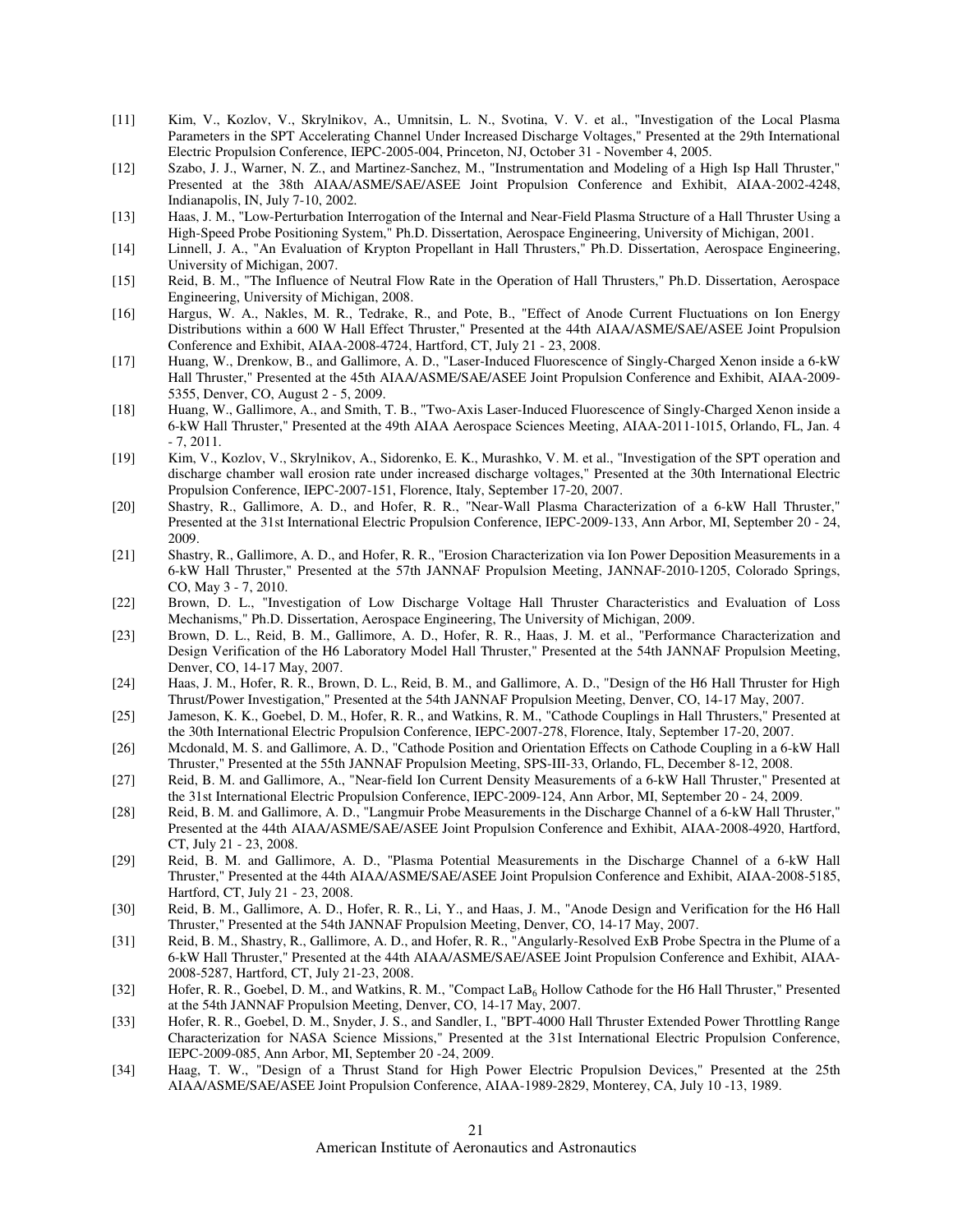- [11] Kim, V., Kozlov, V., Skrylnikov, A., Umnitsin, L. N., Svotina, V. V. et al., "Investigation of the Local Plasma Parameters in the SPT Accelerating Channel Under Increased Discharge Voltages," Presented at the 29th International Electric Propulsion Conference, IEPC-2005-004, Princeton, NJ, October 31 - November 4, 2005.
- [12] Szabo, J. J., Warner, N. Z., and Martinez-Sanchez, M., "Instrumentation and Modeling of a High Isp Hall Thruster," Presented at the 38th AIAA/ASME/SAE/ASEE Joint Propulsion Conference and Exhibit, AIAA-2002-4248, Indianapolis, IN, July 7-10, 2002.
- [13] Haas, J. M., "Low-Perturbation Interrogation of the Internal and Near-Field Plasma Structure of a Hall Thruster Using a High-Speed Probe Positioning System," Ph.D. Dissertation, Aerospace Engineering, University of Michigan, 2001.
- [14] Linnell, J. A., "An Evaluation of Krypton Propellant in Hall Thrusters," Ph.D. Dissertation, Aerospace Engineering, University of Michigan, 2007.
- [15] Reid, B. M., "The Influence of Neutral Flow Rate in the Operation of Hall Thrusters," Ph.D. Dissertation, Aerospace Engineering, University of Michigan, 2008.
- [16] Hargus, W. A., Nakles, M. R., Tedrake, R., and Pote, B., "Effect of Anode Current Fluctuations on Ion Energy Distributions within a 600 W Hall Effect Thruster," Presented at the 44th AIAA/ASME/SAE/ASEE Joint Propulsion Conference and Exhibit, AIAA-2008-4724, Hartford, CT, July 21 - 23, 2008.
- [17] Huang, W., Drenkow, B., and Gallimore, A. D., "Laser-Induced Fluorescence of Singly-Charged Xenon inside a 6-kW Hall Thruster," Presented at the 45th AIAA/ASME/SAE/ASEE Joint Propulsion Conference and Exhibit, AIAA-2009- 5355, Denver, CO, August 2 - 5, 2009.
- [18] Huang, W., Gallimore, A., and Smith, T. B., "Two-Axis Laser-Induced Fluorescence of Singly-Charged Xenon inside a 6-kW Hall Thruster," Presented at the 49th AIAA Aerospace Sciences Meeting, AIAA-2011-1015, Orlando, FL, Jan. 4 - 7, 2011.
- [19] Kim, V., Kozlov, V., Skrylnikov, A., Sidorenko, E. K., Murashko, V. M. et al., "Investigation of the SPT operation and discharge chamber wall erosion rate under increased discharge voltages," Presented at the 30th International Electric Propulsion Conference, IEPC-2007-151, Florence, Italy, September 17-20, 2007.
- [20] Shastry, R., Gallimore, A. D., and Hofer, R. R., "Near-Wall Plasma Characterization of a 6-kW Hall Thruster," Presented at the 31st International Electric Propulsion Conference, IEPC-2009-133, Ann Arbor, MI, September 20 - 24, 2009.
- [21] Shastry, R., Gallimore, A. D., and Hofer, R. R., "Erosion Characterization via Ion Power Deposition Measurements in a 6-kW Hall Thruster," Presented at the 57th JANNAF Propulsion Meeting, JANNAF-2010-1205, Colorado Springs, CO, May 3 - 7, 2010.
- [22] Brown, D. L., "Investigation of Low Discharge Voltage Hall Thruster Characteristics and Evaluation of Loss Mechanisms," Ph.D. Dissertation, Aerospace Engineering, The University of Michigan, 2009.
- [23] Brown, D. L., Reid, B. M., Gallimore, A. D., Hofer, R. R., Haas, J. M. et al., "Performance Characterization and Design Verification of the H6 Laboratory Model Hall Thruster," Presented at the 54th JANNAF Propulsion Meeting, Denver, CO, 14-17 May, 2007.
- [24] Haas, J. M., Hofer, R. R., Brown, D. L., Reid, B. M., and Gallimore, A. D., "Design of the H6 Hall Thruster for High Thrust/Power Investigation," Presented at the 54th JANNAF Propulsion Meeting, Denver, CO, 14-17 May, 2007.
- [25] Jameson, K. K., Goebel, D. M., Hofer, R. R., and Watkins, R. M., "Cathode Couplings in Hall Thrusters," Presented at the 30th International Electric Propulsion Conference, IEPC-2007-278, Florence, Italy, September 17-20, 2007.
- [26] Mcdonald, M. S. and Gallimore, A. D., "Cathode Position and Orientation Effects on Cathode Coupling in a 6-kW Hall Thruster," Presented at the 55th JANNAF Propulsion Meeting, SPS-III-33, Orlando, FL, December 8-12, 2008.
- [27] Reid, B. M. and Gallimore, A., "Near-field Ion Current Density Measurements of a 6-kW Hall Thruster," Presented at the 31st International Electric Propulsion Conference, IEPC-2009-124, Ann Arbor, MI, September 20 - 24, 2009.
- [28] Reid, B. M. and Gallimore, A. D., "Langmuir Probe Measurements in the Discharge Channel of a 6-kW Hall Thruster," Presented at the 44th AIAA/ASME/SAE/ASEE Joint Propulsion Conference and Exhibit, AIAA-2008-4920, Hartford, CT, July 21 - 23, 2008.
- [29] Reid, B. M. and Gallimore, A. D., "Plasma Potential Measurements in the Discharge Channel of a 6-kW Hall Thruster," Presented at the 44th AIAA/ASME/SAE/ASEE Joint Propulsion Conference and Exhibit, AIAA-2008-5185, Hartford, CT, July 21 - 23, 2008.
- [30] Reid, B. M., Gallimore, A. D., Hofer, R. R., Li, Y., and Haas, J. M., "Anode Design and Verification for the H6 Hall Thruster," Presented at the 54th JANNAF Propulsion Meeting, Denver, CO, 14-17 May, 2007.
- [31] Reid, B. M., Shastry, R., Gallimore, A. D., and Hofer, R. R., "Angularly-Resolved ExB Probe Spectra in the Plume of a 6-kW Hall Thruster," Presented at the 44th AIAA/ASME/SAE/ASEE Joint Propulsion Conference and Exhibit, AIAA-2008-5287, Hartford, CT, July 21-23, 2008.
- [32] Hofer, R. R., Goebel, D. M., and Watkins, R. M., "Compact LaB<sub>6</sub> Hollow Cathode for the H6 Hall Thruster," Presented at the 54th JANNAF Propulsion Meeting, Denver, CO, 14-17 May, 2007.
- [33] Hofer, R. R., Goebel, D. M., Snyder, J. S., and Sandler, I., "BPT-4000 Hall Thruster Extended Power Throttling Range Characterization for NASA Science Missions," Presented at the 31st International Electric Propulsion Conference, IEPC-2009-085, Ann Arbor, MI, September 20 -24, 2009.
- [34] Haag, T. W., "Design of a Thrust Stand for High Power Electric Propulsion Devices," Presented at the 25th AIAA/ASME/SAE/ASEE Joint Propulsion Conference, AIAA-1989-2829, Monterey, CA, July 10 -13, 1989.